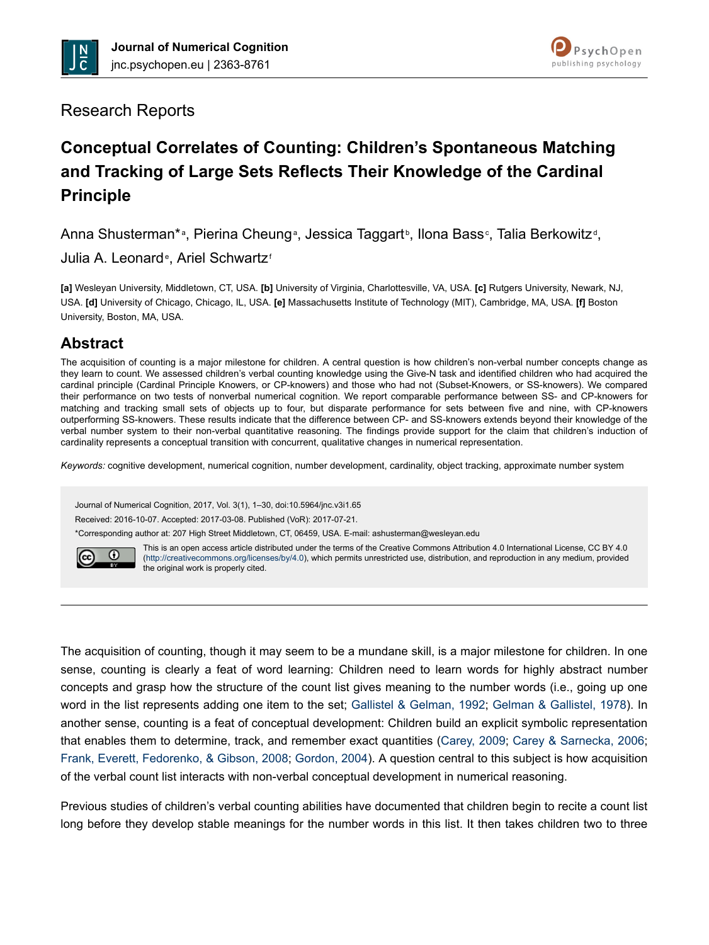



## Research Reports

# **Conceptual Correlates of Counting: Children's Spontaneous Matching and Tracking of Large Sets Reflects Their Knowledge of the Cardinal Principle**

Anna Shusterman\*a, Pierina Cheunga, Jessica Taggartb, Ilona Basse, Talia Berkowitzd,

Julia A. Leonard<sup>e</sup>, Ariel Schwartz<sup>®</sup>

**[a]** Wesleyan University, Middletown, CT, USA. **[b]** University of Virginia, Charlottesville, VA, USA. **[c]** Rutgers University, Newark, NJ, USA. **[d]** University of Chicago, Chicago, IL, USA. **[e]** Massachusetts Institute of Technology (MIT), Cambridge, MA, USA. **[f]** Boston University, Boston, MA, USA.

## **Abstract**

The acquisition of counting is a major milestone for children. A central question is how children's non-verbal number concepts change as they learn to count. We assessed children's verbal counting knowledge using the Give-N task and identified children who had acquired the cardinal principle (Cardinal Principle Knowers, or CP-knowers) and those who had not (Subset-Knowers, or SS-knowers). We compared their performance on two tests of nonverbal numerical cognition. We report comparable performance between SS- and CP-knowers for matching and tracking small sets of objects up to four, but disparate performance for sets between five and nine, with CP-knowers outperforming SS-knowers. These results indicate that the difference between CP- and SS-knowers extends beyond their knowledge of the verbal number system to their non-verbal quantitative reasoning. The findings provide support for the claim that children's induction of cardinality represents a conceptual transition with concurrent, qualitative changes in numerical representation.

*Keywords:* cognitive development, numerical cognition, number development, cardinality, object tracking, approximate number system

Journal of Numerical Cognition, 2017, Vol. 3(1), 1–30, doi:10.5964/jnc.v3i1.65

Received: 2016-10-07. Accepted: 2017-03-08. Published (VoR): 2017-07-21.

\*Corresponding author at: 207 High Street Middletown, CT, 06459, USA. E-mail: ashusterman@wesleyan.edu



This is an open access article distributed under the terms of the Creative Commons Attribution 4.0 International License, CC BY 4.0 (<http://creativecommons.org/licenses/by/4.0>), which permits unrestricted use, distribution, and reproduction in any medium, provided the original work is properly cited.

The acquisition of counting, though it may seem to be a mundane skill, is a major milestone for children. In one sense, counting is clearly a feat of word learning: Children need to learn words for highly abstract number concepts and grasp how the structure of the count list gives meaning to the number words (i.e., going up one word in the list represents adding one item to the set; [Gallistel & Gelman, 1992;](#page-26-0) [Gelman & Gallistel, 1978](#page-26-0)). In another sense, counting is a feat of conceptual development: Children build an explicit symbolic representation that enables them to determine, track, and remember exact quantities ([Carey, 2009;](#page-25-0) [Carey & Sarnecka, 2006](#page-25-0); [Frank, Everett, Fedorenko, & Gibson, 2008](#page-25-0); [Gordon, 2004](#page-26-0)). A question central to this subject is how acquisition of the verbal count list interacts with non-verbal conceptual development in numerical reasoning.

Previous studies of children's verbal counting abilities have documented that children begin to recite a count list long before they develop stable meanings for the number words in this list. It then takes children two to three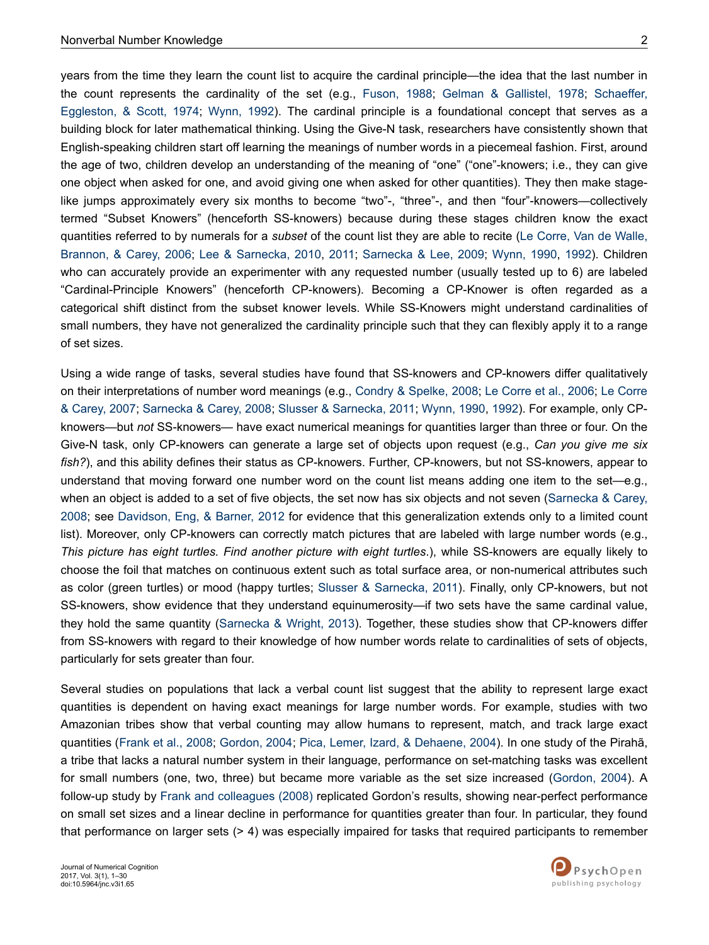years from the time they learn the count list to acquire the cardinal principle—the idea that the last number in the count represents the cardinality of the set (e.g., [Fuson, 1988](#page-25-0); [Gelman & Gallistel, 1978;](#page-26-0) [Schaeffer,](#page-28-0) [Eggleston, & Scott, 1974](#page-28-0); [Wynn, 1992](#page-29-0)). The cardinal principle is a foundational concept that serves as a building block for later mathematical thinking. Using the Give-N task, researchers have consistently shown that English-speaking children start off learning the meanings of number words in a piecemeal fashion. First, around the age of two, children develop an understanding of the meaning of "one" ("one"-knowers; i.e., they can give one object when asked for one, and avoid giving one when asked for other quantities). They then make stagelike jumps approximately every six months to become "two"-, "three"-, and then "four"-knowers—collectively termed "Subset Knowers" (henceforth SS-knowers) because during these stages children know the exact quantities referred to by numerals for a *subset* of the count list they are able to recite [\(Le Corre, Van de Walle,](#page-26-0) [Brannon, & Carey, 2006;](#page-26-0) [Lee & Sarnecka, 2010,](#page-26-0) [2011](#page-26-0); [Sarnecka & Lee, 2009](#page-28-0); [Wynn, 1990](#page-29-0), [1992](#page-29-0)). Children who can accurately provide an experimenter with any requested number (usually tested up to 6) are labeled "Cardinal-Principle Knowers" (henceforth CP-knowers). Becoming a CP-Knower is often regarded as a categorical shift distinct from the subset knower levels. While SS-Knowers might understand cardinalities of small numbers, they have not generalized the cardinality principle such that they can flexibly apply it to a range of set sizes.

Using a wide range of tasks, several studies have found that SS-knowers and CP-knowers differ qualitatively on their interpretations of number word meanings (e.g., [Condry & Spelke, 2008;](#page-25-0) [Le Corre et al., 2006](#page-26-0); [Le Corre](#page-26-0) [& Carey, 2007](#page-26-0); [Sarnecka & Carey, 2008](#page-28-0); [Slusser & Sarnecka, 2011;](#page-28-0) [Wynn, 1990, 1992\)](#page-29-0). For example, only CPknowers—but *not* SS-knowers— have exact numerical meanings for quantities larger than three or four. On the Give-N task, only CP-knowers can generate a large set of objects upon request (e.g., *Can you give me six fish?*), and this ability defines their status as CP-knowers. Further, CP-knowers, but not SS-knowers, appear to understand that moving forward one number word on the count list means adding one item to the set—e.g., when an object is added to a set of five objects, the set now has six objects and not seven ([Sarnecka & Carey,](#page-28-0) [2008](#page-28-0); see [Davidson, Eng, & Barner, 2012](#page-25-0) for evidence that this generalization extends only to a limited count list). Moreover, only CP-knowers can correctly match pictures that are labeled with large number words (e.g., *This picture has eight turtles. Find another picture with eight turtles*.), while SS-knowers are equally likely to choose the foil that matches on continuous extent such as total surface area, or non-numerical attributes such as color (green turtles) or mood (happy turtles; [Slusser & Sarnecka, 2011](#page-28-0)). Finally, only CP-knowers, but not SS-knowers, show evidence that they understand equinumerosity—if two sets have the same cardinal value, they hold the same quantity [\(Sarnecka & Wright, 2013](#page-28-0)). Together, these studies show that CP-knowers differ from SS-knowers with regard to their knowledge of how number words relate to cardinalities of sets of objects, particularly for sets greater than four.

Several studies on populations that lack a verbal count list suggest that the ability to represent large exact quantities is dependent on having exact meanings for large number words. For example, studies with two Amazonian tribes show that verbal counting may allow humans to represent, match, and track large exact quantities ([Frank et al., 2008;](#page-25-0) [Gordon, 2004](#page-26-0); [Pica, Lemer, Izard, & Dehaene, 2004](#page-27-0)). In one study of the Pirahã, a tribe that lacks a natural number system in their language, performance on set-matching tasks was excellent for small numbers (one, two, three) but became more variable as the set size increased ([Gordon, 2004](#page-26-0)). A follow-up study by [Frank and colleagues \(2008\)](#page-25-0) replicated Gordon's results, showing near-perfect performance on small set sizes and a linear decline in performance for quantities greater than four. In particular, they found that performance on larger sets (> 4) was especially impaired for tasks that required participants to remember

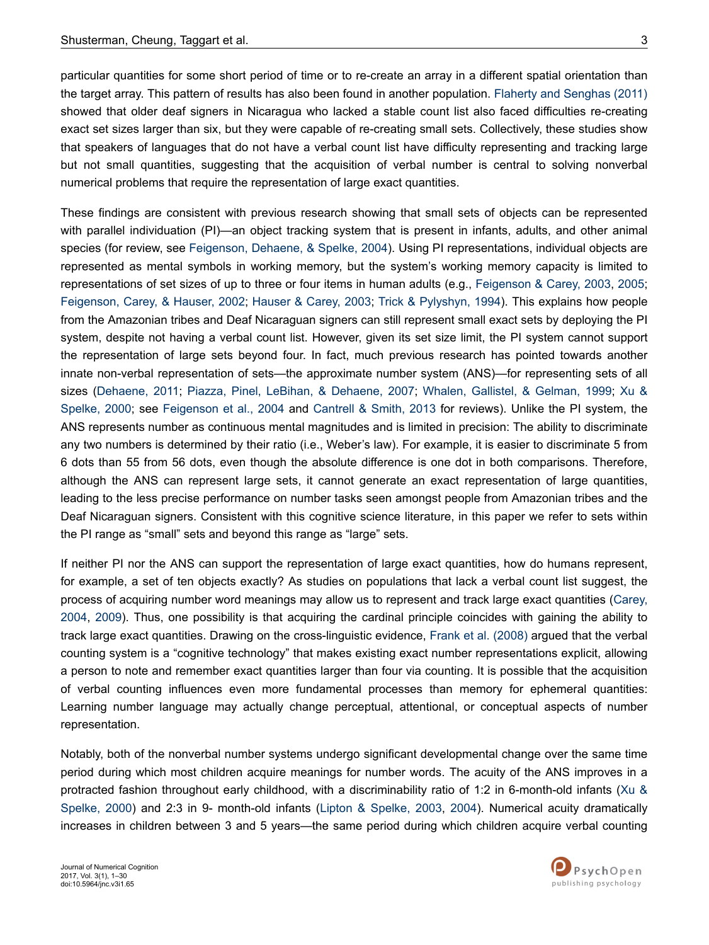particular quantities for some short period of time or to re-create an array in a different spatial orientation than the target array. This pattern of results has also been found in another population. [Flaherty and Senghas \(2011\)](#page-25-0) showed that older deaf signers in Nicaragua who lacked a stable count list also faced difficulties re-creating exact set sizes larger than six, but they were capable of re-creating small sets. Collectively, these studies show that speakers of languages that do not have a verbal count list have difficulty representing and tracking large but not small quantities, suggesting that the acquisition of verbal number is central to solving nonverbal numerical problems that require the representation of large exact quantities.

These findings are consistent with previous research showing that small sets of objects can be represented with parallel individuation (PI)—an object tracking system that is present in infants, adults, and other animal species (for review, see [Feigenson, Dehaene, & Spelke, 2004\)](#page-25-0). Using PI representations, individual objects are represented as mental symbols in working memory, but the system's working memory capacity is limited to representations of set sizes of up to three or four items in human adults (e.g., [Feigenson & Carey, 2003](#page-25-0), [2005](#page-25-0); [Feigenson, Carey, & Hauser, 2002;](#page-25-0) [Hauser & Carey, 2003;](#page-26-0) [Trick & Pylyshyn, 1994\)](#page-29-0). This explains how people from the Amazonian tribes and Deaf Nicaraguan signers can still represent small exact sets by deploying the PI system, despite not having a verbal count list. However, given its set size limit, the PI system cannot support the representation of large sets beyond four. In fact, much previous research has pointed towards another innate non-verbal representation of sets—the approximate number system (ANS)—for representing sets of all sizes [\(Dehaene, 2011;](#page-25-0) [Piazza, Pinel, LeBihan, & Dehaene, 2007](#page-27-0); [Whalen, Gallistel, & Gelman, 1999](#page-29-0); [Xu &](#page-29-0) [Spelke, 2000](#page-29-0); see [Feigenson et al., 2004](#page-25-0) and [Cantrell & Smith, 2013](#page-24-0) for reviews). Unlike the PI system, the ANS represents number as continuous mental magnitudes and is limited in precision: The ability to discriminate any two numbers is determined by their ratio (i.e., Weber's law). For example, it is easier to discriminate 5 from 6 dots than 55 from 56 dots, even though the absolute difference is one dot in both comparisons. Therefore, although the ANS can represent large sets, it cannot generate an exact representation of large quantities, leading to the less precise performance on number tasks seen amongst people from Amazonian tribes and the Deaf Nicaraguan signers. Consistent with this cognitive science literature, in this paper we refer to sets within the PI range as "small" sets and beyond this range as "large" sets.

If neither PI nor the ANS can support the representation of large exact quantities, how do humans represent, for example, a set of ten objects exactly? As studies on populations that lack a verbal count list suggest, the process of acquiring number word meanings may allow us to represent and track large exact quantities ([Carey,](#page-25-0) [2004](#page-25-0), [2009](#page-25-0)). Thus, one possibility is that acquiring the cardinal principle coincides with gaining the ability to track large exact quantities. Drawing on the cross-linguistic evidence, [Frank et al. \(2008\)](#page-25-0) argued that the verbal counting system is a "cognitive technology" that makes existing exact number representations explicit, allowing a person to note and remember exact quantities larger than four via counting. It is possible that the acquisition of verbal counting influences even more fundamental processes than memory for ephemeral quantities: Learning number language may actually change perceptual, attentional, or conceptual aspects of number representation.

Notably, both of the nonverbal number systems undergo significant developmental change over the same time period during which most children acquire meanings for number words. The acuity of the ANS improves in a protracted fashion throughout early childhood, with a discriminability ratio of 1:2 in 6-month-old infants [\(Xu &](#page-29-0) [Spelke, 2000\)](#page-29-0) and 2:3 in 9- month-old infants ([Lipton & Spelke, 2003](#page-26-0), [2004\)](#page-27-0). Numerical acuity dramatically increases in children between 3 and 5 years—the same period during which children acquire verbal counting

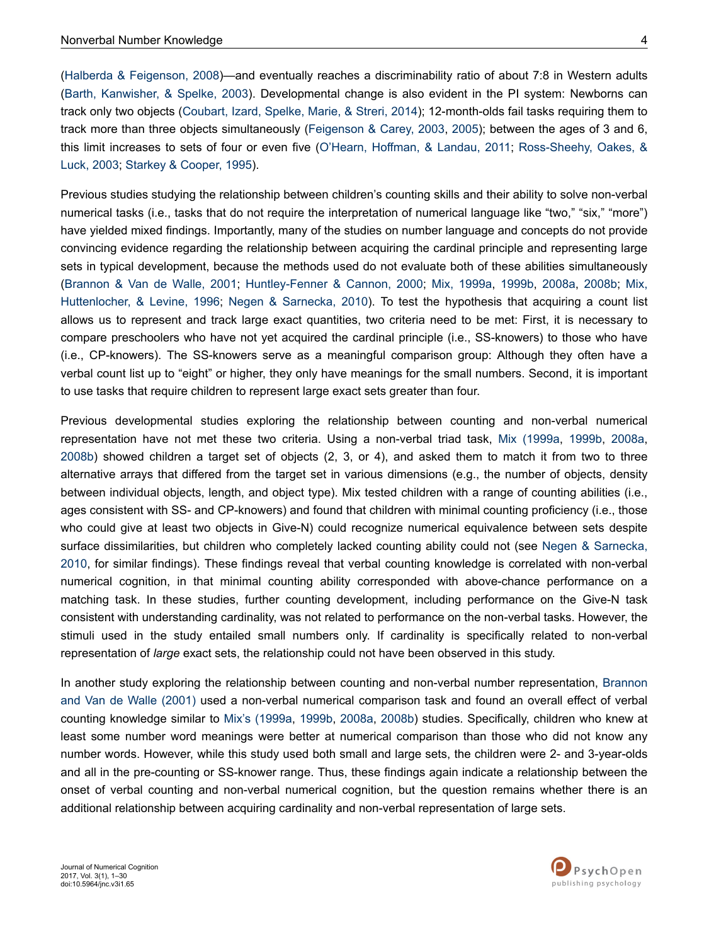[\(Halberda & Feigenson, 2008](#page-26-0))—and eventually reaches a discriminability ratio of about 7:8 in Western adults [\(Barth, Kanwisher, & Spelke, 2003\)](#page-24-0). Developmental change is also evident in the PI system: Newborns can track only two objects [\(Coubart, Izard, Spelke, Marie, & Streri, 2014](#page-25-0)); 12-month-olds fail tasks requiring them to track more than three objects simultaneously [\(Feigenson & Carey, 2003,](#page-25-0) [2005](#page-25-0)); between the ages of 3 and 6, this limit increases to sets of four or even five ([O'Hearn, Hoffman, & Landau, 2011](#page-27-0); [Ross-Sheehy, Oakes, &](#page-27-0) [Luck, 2003;](#page-27-0) [Starkey & Cooper, 1995\)](#page-28-0).

Previous studies studying the relationship between children's counting skills and their ability to solve non-verbal numerical tasks (i.e., tasks that do not require the interpretation of numerical language like "two," "six," "more") have yielded mixed findings. Importantly, many of the studies on number language and concepts do not provide convincing evidence regarding the relationship between acquiring the cardinal principle and representing large sets in typical development, because the methods used do not evaluate both of these abilities simultaneously [\(Brannon & Van de Walle, 2001](#page-24-0); [Huntley-Fenner & Cannon, 2000;](#page-26-0) [Mix, 1999a](#page-27-0), [1999b](#page-27-0), [2008a,](#page-27-0) [2008b;](#page-27-0) [Mix,](#page-27-0) [Huttenlocher, & Levine, 1996;](#page-27-0) [Negen & Sarnecka, 2010](#page-27-0)). To test the hypothesis that acquiring a count list allows us to represent and track large exact quantities, two criteria need to be met: First, it is necessary to compare preschoolers who have not yet acquired the cardinal principle (i.e., SS-knowers) to those who have (i.e., CP-knowers). The SS-knowers serve as a meaningful comparison group: Although they often have a verbal count list up to "eight" or higher, they only have meanings for the small numbers. Second, it is important to use tasks that require children to represent large exact sets greater than four.

Previous developmental studies exploring the relationship between counting and non-verbal numerical representation have not met these two criteria. Using a non-verbal triad task, [Mix \(1999a](#page-27-0), [1999b,](#page-27-0) [2008a](#page-27-0), [2008b\)](#page-27-0) showed children a target set of objects (2, 3, or 4), and asked them to match it from two to three alternative arrays that differed from the target set in various dimensions (e.g., the number of objects, density between individual objects, length, and object type). Mix tested children with a range of counting abilities (i.e., ages consistent with SS- and CP-knowers) and found that children with minimal counting proficiency (i.e., those who could give at least two objects in Give-N) could recognize numerical equivalence between sets despite surface dissimilarities, but children who completely lacked counting ability could not (see [Negen & Sarnecka,](#page-27-0) [2010](#page-27-0), for similar findings). These findings reveal that verbal counting knowledge is correlated with non-verbal numerical cognition, in that minimal counting ability corresponded with above-chance performance on a matching task. In these studies, further counting development, including performance on the Give-N task consistent with understanding cardinality, was not related to performance on the non-verbal tasks. However, the stimuli used in the study entailed small numbers only. If cardinality is specifically related to non-verbal representation of *large* exact sets, the relationship could not have been observed in this study.

In another study exploring the relationship between counting and non-verbal number representation, [Brannon](#page-24-0) [and Van de Walle \(2001\)](#page-24-0) used a non-verbal numerical comparison task and found an overall effect of verbal counting knowledge similar to [Mix's \(1999a](#page-27-0), [1999b,](#page-27-0) [2008a,](#page-27-0) [2008b\)](#page-27-0) studies. Specifically, children who knew at least some number word meanings were better at numerical comparison than those who did not know any number words. However, while this study used both small and large sets, the children were 2- and 3-year-olds and all in the pre-counting or SS-knower range. Thus, these findings again indicate a relationship between the onset of verbal counting and non-verbal numerical cognition, but the question remains whether there is an additional relationship between acquiring cardinality and non-verbal representation of large sets.

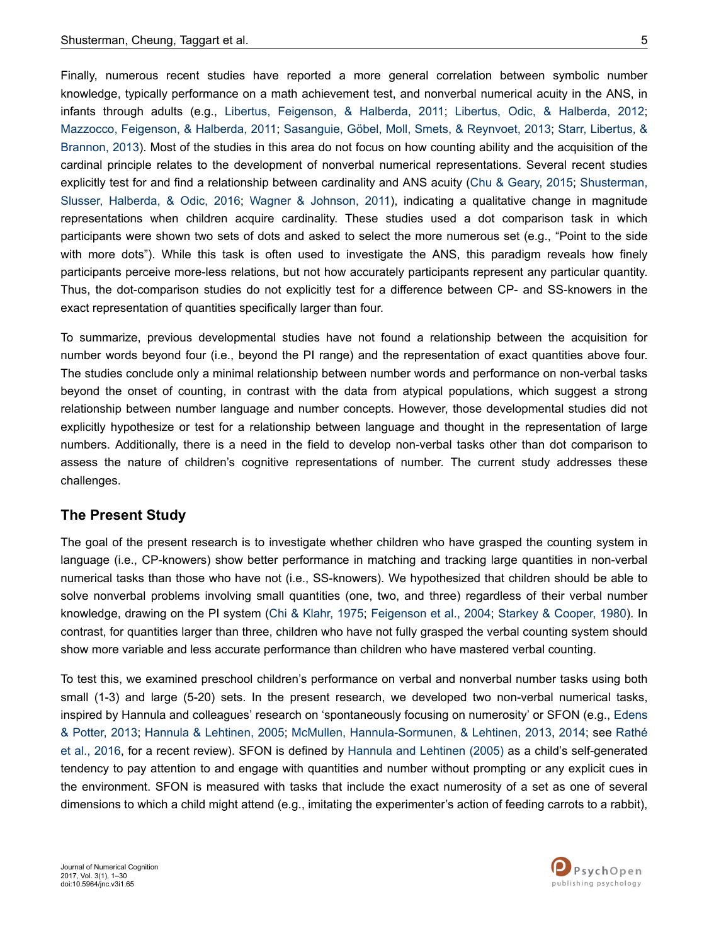Finally, numerous recent studies have reported a more general correlation between symbolic number knowledge, typically performance on a math achievement test, and nonverbal numerical acuity in the ANS, in infants through adults (e.g., [Libertus, Feigenson, & Halberda, 2011](#page-26-0); [Libertus, Odic, & Halberda, 2012](#page-26-0); [Mazzocco, Feigenson, & Halberda, 2011](#page-27-0); [Sasanguie, Göbel, Moll, Smets, & Reynvoet, 2013](#page-28-0); [Starr, Libertus, &](#page-28-0) [Brannon, 2013](#page-28-0)). Most of the studies in this area do not focus on how counting ability and the acquisition of the cardinal principle relates to the development of nonverbal numerical representations. Several recent studies explicitly test for and find a relationship between cardinality and ANS acuity [\(Chu & Geary, 2015](#page-25-0); [Shusterman,](#page-28-0) [Slusser, Halberda, & Odic, 2016](#page-28-0); [Wagner & Johnson, 2011](#page-29-0)), indicating a qualitative change in magnitude representations when children acquire cardinality. These studies used a dot comparison task in which participants were shown two sets of dots and asked to select the more numerous set (e.g., "Point to the side with more dots"). While this task is often used to investigate the ANS, this paradigm reveals how finely participants perceive more-less relations, but not how accurately participants represent any particular quantity. Thus, the dot-comparison studies do not explicitly test for a difference between CP- and SS-knowers in the exact representation of quantities specifically larger than four.

To summarize, previous developmental studies have not found a relationship between the acquisition for number words beyond four (i.e., beyond the PI range) and the representation of exact quantities above four. The studies conclude only a minimal relationship between number words and performance on non-verbal tasks beyond the onset of counting, in contrast with the data from atypical populations, which suggest a strong relationship between number language and number concepts. However, those developmental studies did not explicitly hypothesize or test for a relationship between language and thought in the representation of large numbers. Additionally, there is a need in the field to develop non-verbal tasks other than dot comparison to assess the nature of children's cognitive representations of number. The current study addresses these challenges.

## **The Present Study**

The goal of the present research is to investigate whether children who have grasped the counting system in language (i.e., CP-knowers) show better performance in matching and tracking large quantities in non-verbal numerical tasks than those who have not (i.e., SS-knowers). We hypothesized that children should be able to solve nonverbal problems involving small quantities (one, two, and three) regardless of their verbal number knowledge, drawing on the PI system [\(Chi & Klahr, 1975;](#page-25-0) [Feigenson et al., 2004](#page-25-0); [Starkey & Cooper, 1980](#page-28-0)). In contrast, for quantities larger than three, children who have not fully grasped the verbal counting system should show more variable and less accurate performance than children who have mastered verbal counting.

To test this, we examined preschool children's performance on verbal and nonverbal number tasks using both small (1-3) and large (5-20) sets. In the present research, we developed two non-verbal numerical tasks, inspired by Hannula and colleagues' research on 'spontaneously focusing on numerosity' or SFON (e.g., [Edens](#page-25-0) [& Potter, 2013;](#page-25-0) [Hannula & Lehtinen, 2005;](#page-26-0) [McMullen, Hannula-Sormunen, & Lehtinen, 2013,](#page-27-0) [2014;](#page-27-0) see [Rathé](#page-27-0) [et al., 2016,](#page-27-0) for a recent review). SFON is defined by [Hannula and Lehtinen \(2005\)](#page-26-0) as a child's self-generated tendency to pay attention to and engage with quantities and number without prompting or any explicit cues in the environment. SFON is measured with tasks that include the exact numerosity of a set as one of several dimensions to which a child might attend (e.g., imitating the experimenter's action of feeding carrots to a rabbit),

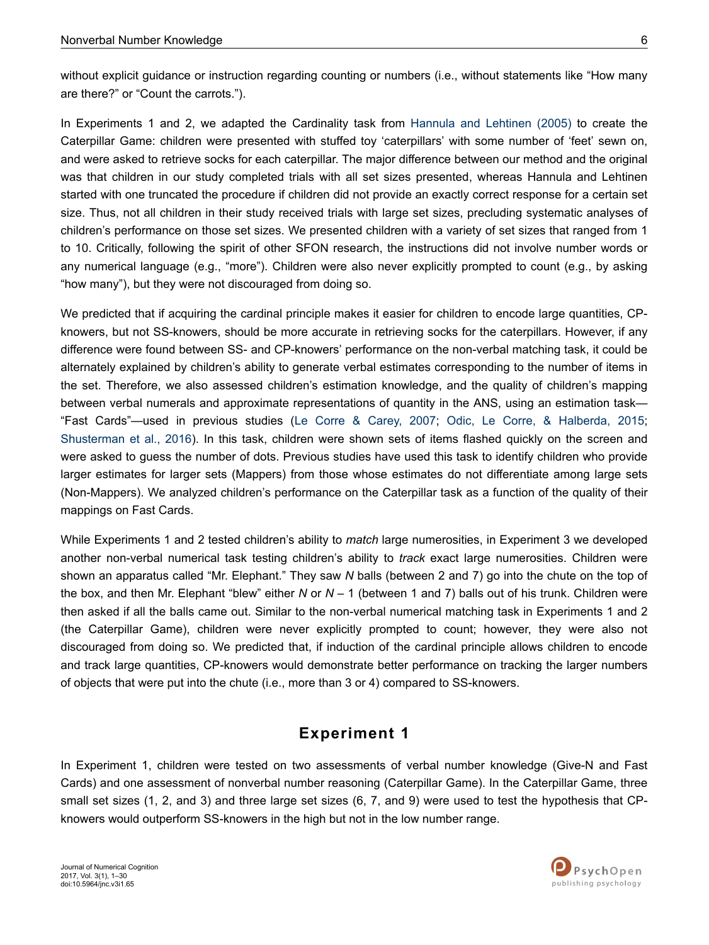without explicit guidance or instruction regarding counting or numbers (i.e., without statements like "How many are there?" or "Count the carrots.").

In Experiments 1 and 2, we adapted the Cardinality task from [Hannula and Lehtinen \(2005\)](#page-26-0) to create the Caterpillar Game: children were presented with stuffed toy 'caterpillars' with some number of 'feet' sewn on, and were asked to retrieve socks for each caterpillar. The major difference between our method and the original was that children in our study completed trials with all set sizes presented, whereas Hannula and Lehtinen started with one truncated the procedure if children did not provide an exactly correct response for a certain set size. Thus, not all children in their study received trials with large set sizes, precluding systematic analyses of children's performance on those set sizes. We presented children with a variety of set sizes that ranged from 1 to 10. Critically, following the spirit of other SFON research, the instructions did not involve number words or any numerical language (e.g., "more"). Children were also never explicitly prompted to count (e.g., by asking "how many"), but they were not discouraged from doing so.

We predicted that if acquiring the cardinal principle makes it easier for children to encode large quantities, CPknowers, but not SS-knowers, should be more accurate in retrieving socks for the caterpillars. However, if any difference were found between SS- and CP-knowers' performance on the non-verbal matching task, it could be alternately explained by children's ability to generate verbal estimates corresponding to the number of items in the set. Therefore, we also assessed children's estimation knowledge, and the quality of children's mapping between verbal numerals and approximate representations of quantity in the ANS, using an estimation task— "Fast Cards"—used in previous studies ([Le Corre & Carey, 2007](#page-26-0); [Odic, Le Corre, & Halberda, 2015](#page-27-0); [Shusterman et al., 2016](#page-28-0)). In this task, children were shown sets of items flashed quickly on the screen and were asked to guess the number of dots. Previous studies have used this task to identify children who provide larger estimates for larger sets (Mappers) from those whose estimates do not differentiate among large sets (Non-Mappers). We analyzed children's performance on the Caterpillar task as a function of the quality of their mappings on Fast Cards.

While Experiments 1 and 2 tested children's ability to *match* large numerosities, in Experiment 3 we developed another non-verbal numerical task testing children's ability to *track* exact large numerosities. Children were shown an apparatus called "Mr. Elephant." They saw *N* balls (between 2 and 7) go into the chute on the top of the box, and then Mr. Elephant "blew" either *N* or *N –* 1 (between 1 and 7) balls out of his trunk. Children were then asked if all the balls came out. Similar to the non-verbal numerical matching task in Experiments 1 and 2 (the Caterpillar Game), children were never explicitly prompted to count; however, they were also not discouraged from doing so. We predicted that, if induction of the cardinal principle allows children to encode and track large quantities, CP-knowers would demonstrate better performance on tracking the larger numbers of objects that were put into the chute (i.e., more than 3 or 4) compared to SS-knowers.

## **Experiment 1**

In Experiment 1, children were tested on two assessments of verbal number knowledge (Give-N and Fast Cards) and one assessment of nonverbal number reasoning (Caterpillar Game). In the Caterpillar Game, three small set sizes (1, 2, and 3) and three large set sizes (6, 7, and 9) were used to test the hypothesis that CPknowers would outperform SS-knowers in the high but not in the low number range.

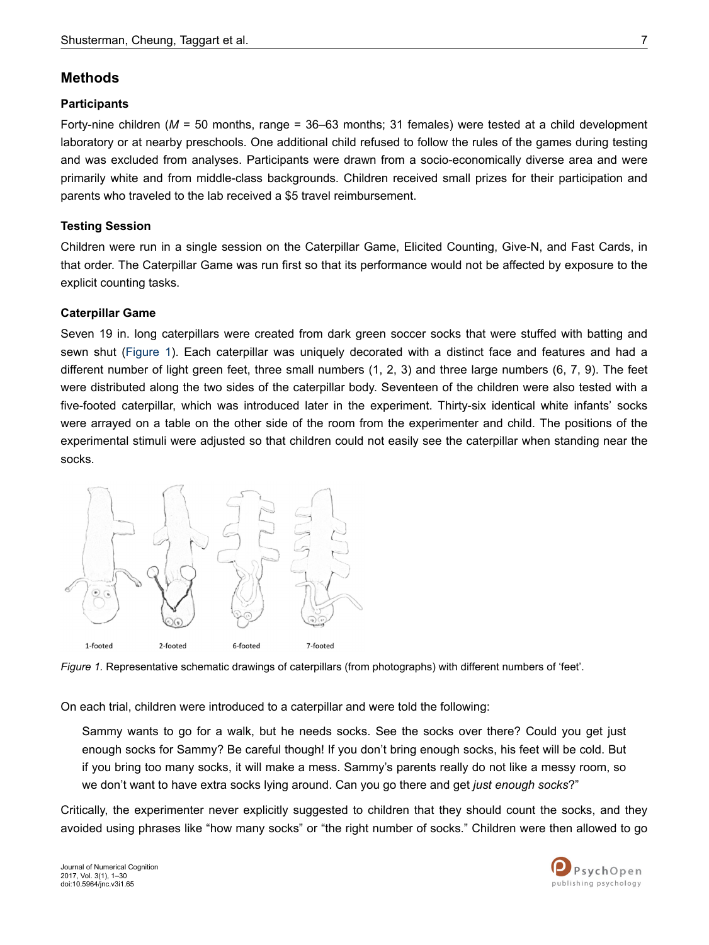## **Methods**

### **Participants**

Forty-nine children (*M* = 50 months, range = 36–63 months; 31 females) were tested at a child development laboratory or at nearby preschools. One additional child refused to follow the rules of the games during testing and was excluded from analyses. Participants were drawn from a socio-economically diverse area and were primarily white and from middle-class backgrounds. Children received small prizes for their participation and parents who traveled to the lab received a \$5 travel reimbursement.

### **Testing Session**

Children were run in a single session on the Caterpillar Game, Elicited Counting, Give-N, and Fast Cards, in that order. The Caterpillar Game was run first so that its performance would not be affected by exposure to the explicit counting tasks.

### **Caterpillar Game**

Seven 19 in. long caterpillars were created from dark green soccer socks that were stuffed with batting and sewn shut (Figure 1). Each caterpillar was uniquely decorated with a distinct face and features and had a different number of light green feet, three small numbers (1, 2, 3) and three large numbers (6, 7, 9). The feet were distributed along the two sides of the caterpillar body. Seventeen of the children were also tested with a five-footed caterpillar, which was introduced later in the experiment. Thirty-six identical white infants' socks were arrayed on a table on the other side of the room from the experimenter and child. The positions of the experimental stimuli were adjusted so that children could not easily see the caterpillar when standing near the socks.



*Figure 1.* Representative schematic drawings of caterpillars (from photographs) with different numbers of 'feet'.

On each trial, children were introduced to a caterpillar and were told the following:

Sammy wants to go for a walk, but he needs socks. See the socks over there? Could you get just enough socks for Sammy? Be careful though! If you don't bring enough socks, his feet will be cold. But if you bring too many socks, it will make a mess. Sammy's parents really do not like a messy room, so we don't want to have extra socks lying around. Can you go there and get *just enough socks*?"

Critically, the experimenter never explicitly suggested to children that they should count the socks, and they avoided using phrases like "how many socks" or "the right number of socks." Children were then allowed to go

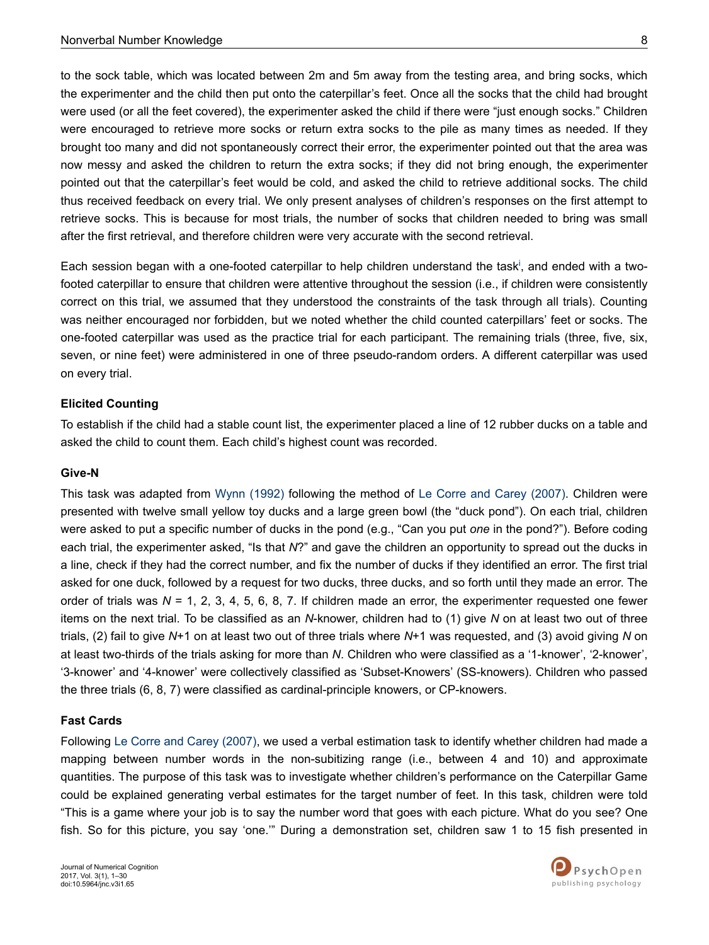to the sock table, which was located between 2m and 5m away from the testing area, and bring socks, which the experimenter and the child then put onto the caterpillar's feet. Once all the socks that the child had brought were used (or all the feet covered), the experimenter asked the child if there were "just enough socks." Children were encouraged to retrieve more socks or return extra socks to the pile as many times as needed. If they brought too many and did not spontaneously correct their error, the experimenter pointed out that the area was now messy and asked the children to return the extra socks; if they did not bring enough, the experimenter pointed out that the caterpillar's feet would be cold, and asked the child to retrieve additional socks. The child thus received feedback on every trial. We only present analyses of children's responses on the first attempt to retrieve socks. This is because for most trials, the number of socks that children needed to bring was small after the first retrieval, and therefore children were very accurate with the second retrieval.

Each sess[i](#page-24-0)on began with a one-footed caterpillar to help children understand the task<sup>i</sup>, and ended with a twofooted caterpillar to ensure that children were attentive throughout the session (i.e., if children were consistently correct on this trial, we assumed that they understood the constraints of the task through all trials). Counting was neither encouraged nor forbidden, but we noted whether the child counted caterpillars' feet or socks. The one-footed caterpillar was used as the practice trial for each participant. The remaining trials (three, five, six, seven, or nine feet) were administered in one of three pseudo-random orders. A different caterpillar was used on every trial.

#### **Elicited Counting**

To establish if the child had a stable count list, the experimenter placed a line of 12 rubber ducks on a table and asked the child to count them. Each child's highest count was recorded.

#### **Give-N**

This task was adapted from [Wynn \(1992\)](#page-29-0) following the method of [Le Corre and Carey \(2007\)](#page-26-0). Children were presented with twelve small yellow toy ducks and a large green bowl (the "duck pond"). On each trial, children were asked to put a specific number of ducks in the pond (e.g., "Can you put *one* in the pond?"). Before coding each trial, the experimenter asked, "Is that *N*?" and gave the children an opportunity to spread out the ducks in a line, check if they had the correct number, and fix the number of ducks if they identified an error. The first trial asked for one duck, followed by a request for two ducks, three ducks, and so forth until they made an error. The order of trials was *N* = 1, 2, 3, 4, 5, 6, 8, 7. If children made an error, the experimenter requested one fewer items on the next trial. To be classified as an *N*-knower, children had to (1) give *N* on at least two out of three trials, (2) fail to give *N*+1 on at least two out of three trials where *N*+1 was requested, and (3) avoid giving *N* on at least two-thirds of the trials asking for more than *N*. Children who were classified as a '1-knower', '2-knower', '3-knower' and '4-knower' were collectively classified as 'Subset-Knowers' (SS-knowers). Children who passed the three trials (6, 8, 7) were classified as cardinal-principle knowers, or CP-knowers.

#### **Fast Cards**

Following [Le Corre and Carey \(2007\),](#page-26-0) we used a verbal estimation task to identify whether children had made a mapping between number words in the non-subitizing range (i.e., between 4 and 10) and approximate quantities. The purpose of this task was to investigate whether children's performance on the Caterpillar Game could be explained generating verbal estimates for the target number of feet. In this task, children were told "This is a game where your job is to say the number word that goes with each picture. What do you see? One fish. So for this picture, you say 'one.'" During a demonstration set, children saw 1 to 15 fish presented in

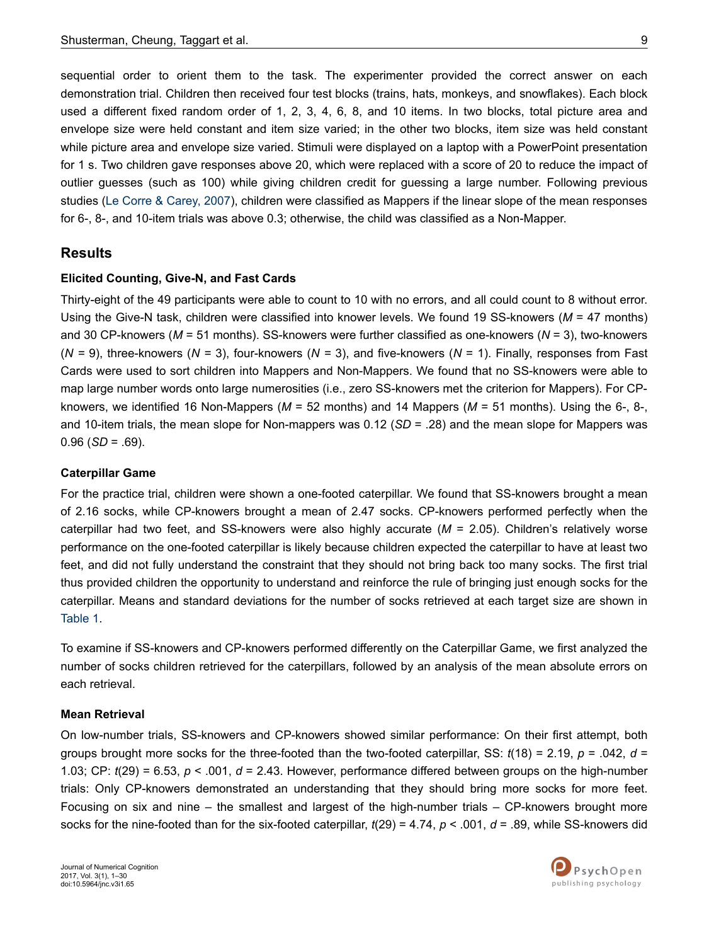sequential order to orient them to the task. The experimenter provided the correct answer on each demonstration trial. Children then received four test blocks (trains, hats, monkeys, and snowflakes). Each block used a different fixed random order of 1, 2, 3, 4, 6, 8, and 10 items. In two blocks, total picture area and envelope size were held constant and item size varied; in the other two blocks, item size was held constant while picture area and envelope size varied. Stimuli were displayed on a laptop with a PowerPoint presentation for 1 s. Two children gave responses above 20, which were replaced with a score of 20 to reduce the impact of outlier guesses (such as 100) while giving children credit for guessing a large number. Following previous studies ([Le Corre & Carey, 2007\)](#page-26-0), children were classified as Mappers if the linear slope of the mean responses for 6-, 8-, and 10-item trials was above 0.3; otherwise, the child was classified as a Non-Mapper.

### **Results**

#### **Elicited Counting, Give-N, and Fast Cards**

Thirty-eight of the 49 participants were able to count to 10 with no errors, and all could count to 8 without error. Using the Give-N task, children were classified into knower levels. We found 19 SS-knowers (*M* = 47 months) and 30 CP-knowers (*M* = 51 months). SS-knowers were further classified as one-knowers (*N* = 3), two-knowers (*N =* 9), three-knowers (*N =* 3), four-knowers (*N =* 3), and five-knowers (*N* = 1). Finally, responses from Fast Cards were used to sort children into Mappers and Non-Mappers. We found that no SS-knowers were able to map large number words onto large numerosities (i.e., zero SS-knowers met the criterion for Mappers). For CPknowers, we identified 16 Non-Mappers (*M* = 52 months) and 14 Mappers (*M* = 51 months). Using the 6-, 8-, and 10-item trials, the mean slope for Non-mappers was 0.12 (*SD* = .28) and the mean slope for Mappers was  $0.96$  (*SD* = .69).

#### **Caterpillar Game**

For the practice trial, children were shown a one-footed caterpillar. We found that SS-knowers brought a mean of 2.16 socks, while CP-knowers brought a mean of 2.47 socks. CP-knowers performed perfectly when the caterpillar had two feet, and SS-knowers were also highly accurate (*M* = 2.05). Children's relatively worse performance on the one-footed caterpillar is likely because children expected the caterpillar to have at least two feet, and did not fully understand the constraint that they should not bring back too many socks. The first trial thus provided children the opportunity to understand and reinforce the rule of bringing just enough socks for the caterpillar. Means and standard deviations for the number of socks retrieved at each target size are shown in [Table 1](#page-9-0).

To examine if SS-knowers and CP-knowers performed differently on the Caterpillar Game, we first analyzed the number of socks children retrieved for the caterpillars, followed by an analysis of the mean absolute errors on each retrieval.

#### **Mean Retrieval**

On low-number trials, SS-knowers and CP-knowers showed similar performance: On their first attempt, both groups brought more socks for the three-footed than the two-footed caterpillar, SS: *t*(18) = 2.19, *p* = .042, *d* = 1.03; CP:  $t(29) = 6.53$ ,  $p < .001$ ,  $d = 2.43$ . However, performance differed between groups on the high-number trials: Only CP-knowers demonstrated an understanding that they should bring more socks for more feet. Focusing on six and nine – the smallest and largest of the high-number trials – CP-knowers brought more socks for the nine-footed than for the six-footed caterpillar, *t*(29) = 4.74, *p* < .001, *d* = .89, while SS-knowers did

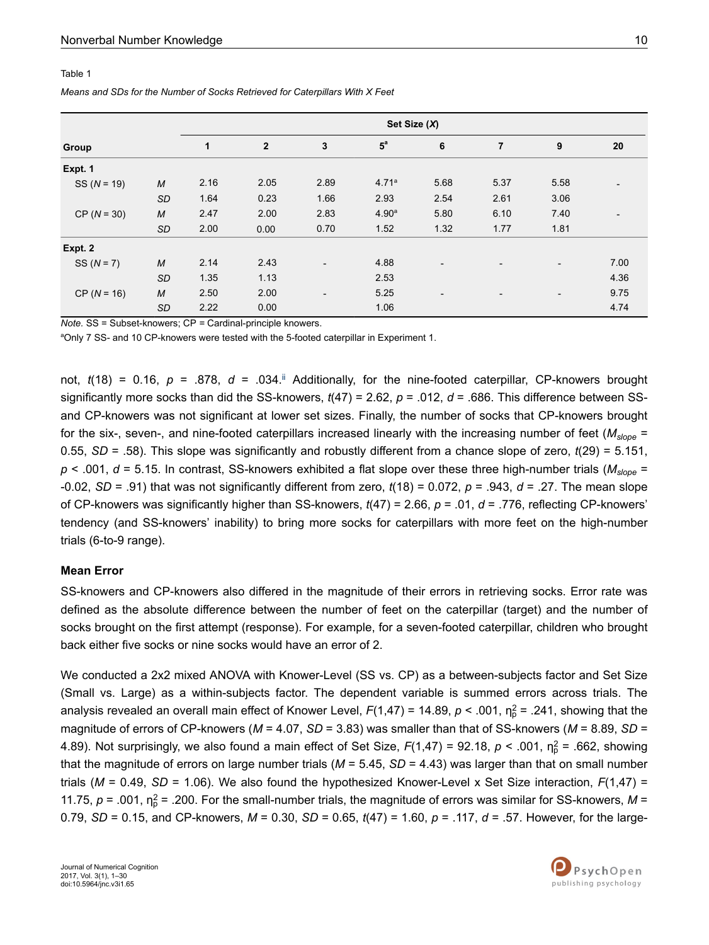#### <span id="page-9-0"></span>Table 1

#### *Means and SDs for the Number of Socks Retrieved for Caterpillars With X Feet*

|               |                  | Set Size (X) |                |                          |                   |                          |                |                          |      |
|---------------|------------------|--------------|----------------|--------------------------|-------------------|--------------------------|----------------|--------------------------|------|
| Group         |                  | 1            | $\overline{2}$ | 3                        | $5^a$             | 6                        | $\overline{7}$ | 9                        | 20   |
| Expt. 1       |                  |              |                |                          |                   |                          |                |                          |      |
| $SS (N = 19)$ | M                | 2.16         | 2.05           | 2.89                     | 4.71a             | 5.68                     | 5.37           | 5.58                     |      |
|               | <b>SD</b>        | 1.64         | 0.23           | 1.66                     | 2.93              | 2.54                     | 2.61           | 3.06                     |      |
| $CP (N = 30)$ | M                | 2.47         | 2.00           | 2.83                     | 4.90 <sup>a</sup> | 5.80                     | 6.10           | 7.40                     |      |
|               | SD               | 2.00         | 0.00           | 0.70                     | 1.52              | 1.32                     | 1.77           | 1.81                     |      |
| Expt. 2       |                  |              |                |                          |                   |                          |                |                          |      |
| $SS (N = 7)$  | M                | 2.14         | 2.43           | $\overline{\phantom{a}}$ | 4.88              | $\overline{\phantom{a}}$ |                | $\overline{\phantom{a}}$ | 7.00 |
|               | SD               | 1.35         | 1.13           |                          | 2.53              |                          |                |                          | 4.36 |
| $CP (N = 16)$ | $\boldsymbol{M}$ | 2.50         | 2.00           | $\overline{a}$           | 5.25              | $\overline{\phantom{0}}$ |                | $\overline{\phantom{0}}$ | 9.75 |
|               | SD               | 2.22         | 0.00           |                          | 1.06              |                          |                |                          | 4.74 |

*Note.* SS = Subset-knowers; CP *=* Cardinal-principle knowers.

aOnly 7 SS- and 10 CP-knowers were tested with the 5-footed caterpillar in Experiment 1.

not,  $t(18) = 0.16$ ,  $p = .878$ ,  $d = .034$ .<sup>[ii](#page-24-0)</sup> Additionally, for the nine-footed caterpillar, CP-knowers brought significantly more socks than did the SS-knowers, *t*(47) = 2.62, *p* = .012, *d* = .686. This difference between SSand CP-knowers was not significant at lower set sizes. Finally, the number of socks that CP-knowers brought for the six-, seven-, and nine-footed caterpillars increased linearly with the increasing number of feet (*Mslope* = 0.55, *SD* = .58). This slope was significantly and robustly different from a chance slope of zero, *t*(29) = 5.151, *p* < .001, *d* = 5.15. In contrast, SS-knowers exhibited a flat slope over these three high-number trials (*Mslope* = -0.02, *SD* = .91) that was not significantly different from zero, *t*(18) = 0.072, *p* = .943, *d* = .27. The mean slope of CP-knowers was significantly higher than SS-knowers, *t*(47) = 2.66, *p* = .01, *d* = .776, reflecting CP-knowers' tendency (and SS-knowers' inability) to bring more socks for caterpillars with more feet on the high-number trials (6-to-9 range).

#### **Mean Error**

SS-knowers and CP-knowers also differed in the magnitude of their errors in retrieving socks. Error rate was defined as the absolute difference between the number of feet on the caterpillar (target) and the number of socks brought on the first attempt (response). For example, for a seven-footed caterpillar, children who brought back either five socks or nine socks would have an error of 2.

We conducted a 2x2 mixed ANOVA with Knower-Level (SS vs. CP) as a between-subjects factor and Set Size (Small vs. Large) as a within-subjects factor. The dependent variable is summed errors across trials. The analysis revealed an overall main effect of Knower Level, *F*(1,47) = 14.89, *p* < .001, η<sub>ρ</sub><sup>2</sup> = .241, showing that the magnitude of errors of CP-knowers (*M* = 4.07, *SD* = 3.83) was smaller than that of SS-knowers (*M* = 8.89, *SD* = 4.89). Not surprisingly, we also found a main effect of Set Size,  $F(1,47) = 92.18$ ,  $p < .001$ ,  $\eta_p^2 = .662$ , showing that the magnitude of errors on large number trials (*M* = 5.45, *SD* = 4.43) was larger than that on small number trials ( $M = 0.49$ ,  $SD = 1.06$ ). We also found the hypothesized Knower-Level x Set Size interaction,  $F(1,47)$  = 11.75,  $p = .001$ ,  $\eta_p^2 = .200$ . For the small-number trials, the magnitude of errors was similar for SS-knowers, M = 0.79, *SD* = 0.15, and CP-knowers, *M* = 0.30, *SD* = 0.65, *t*(47) = 1.60, *p* = .117, *d* = .57. However, for the large-

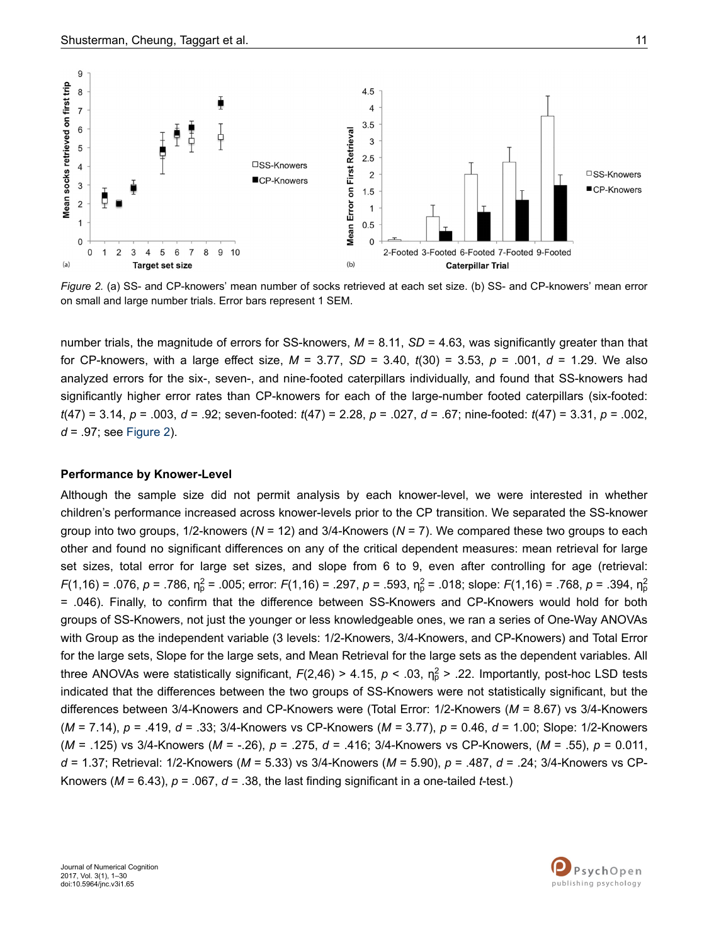

*Figure 2.* (a) SS- and CP-knowers' mean number of socks retrieved at each set size. (b) SS- and CP-knowers' mean error on small and large number trials. Error bars represent 1 SEM.

number trials, the magnitude of errors for SS-knowers,  $M = 8.11$ ,  $SD = 4.63$ , was significantly greater than that for CP-knowers, with a large effect size, *M* = 3.77, *SD* = 3.40, *t*(30) = 3.53, *p* = .001, *d* = 1.29. We also analyzed errors for the six-, seven-, and nine-footed caterpillars individually, and found that SS-knowers had significantly higher error rates than CP-knowers for each of the large-number footed caterpillars (six-footed: *t*(47) = 3.14, *p* = .003, *d* = .92; seven-footed: *t*(47) = 2.28, *p* = .027, *d* = .67; nine-footed: *t*(47) = 3.31, *p* = .002, *d* = .97; see Figure 2).

#### **Performance by Knower-Level**

Although the sample size did not permit analysis by each knower-level, we were interested in whether children's performance increased across knower-levels prior to the CP transition. We separated the SS-knower group into two groups, 1/2-knowers (*N* = 12) and 3/4-Knowers (*N* = 7). We compared these two groups to each other and found no significant differences on any of the critical dependent measures: mean retrieval for large set sizes, total error for large set sizes, and slope from 6 to 9, even after controlling for age (retrieval: *F*(1,16) = .076, *p* = .786, η<sub>ρ</sub><sup>2</sup> = .005; error: *F*(1,16) = .297, *p* = .593, η<sub>ρ</sub><sup>2</sup> = .018; slope: *F*(1,16) = .768, *p* = .394, η<sub>ρ</sub><sup>2</sup> = .046). Finally, to confirm that the difference between SS-Knowers and CP-Knowers would hold for both groups of SS-Knowers, not just the younger or less knowledgeable ones, we ran a series of One-Way ANOVAs with Group as the independent variable (3 levels: 1/2-Knowers, 3/4-Knowers, and CP-Knowers) and Total Error for the large sets, Slope for the large sets, and Mean Retrieval for the large sets as the dependent variables. All three ANOVAs were statistically significant,  $F(2,46) > 4.15$ ,  $p < .03$ ,  $n_p^2 > .22$ . Importantly, post-hoc LSD tests indicated that the differences between the two groups of SS-Knowers were not statistically significant, but the differences between 3/4-Knowers and CP-Knowers were (Total Error: 1/2-Knowers (*M* = 8.67) vs 3/4-Knowers (*M* = 7.14), *p* = .419, *d* = .33; 3/4-Knowers vs CP-Knowers (*M =* 3.77), *p* = 0.46, *d* = 1.00; Slope: 1/2-Knowers (*M* = .125) vs 3/4-Knowers (*M* = -.26), *p* = .275, *d* = .416; 3/4-Knowers vs CP-Knowers, (*M* = .55), *p* = 0.011, *d* = 1.37; Retrieval: 1/2-Knowers (*M* = 5.33) vs 3/4-Knowers (*M* = 5.90), *p* = .487, *d* = .24; 3/4-Knowers vs CP-Knowers ( $M = 6.43$ ),  $p = .067$ ,  $d = .38$ , the last finding significant in a one-tailed *t*-test.)

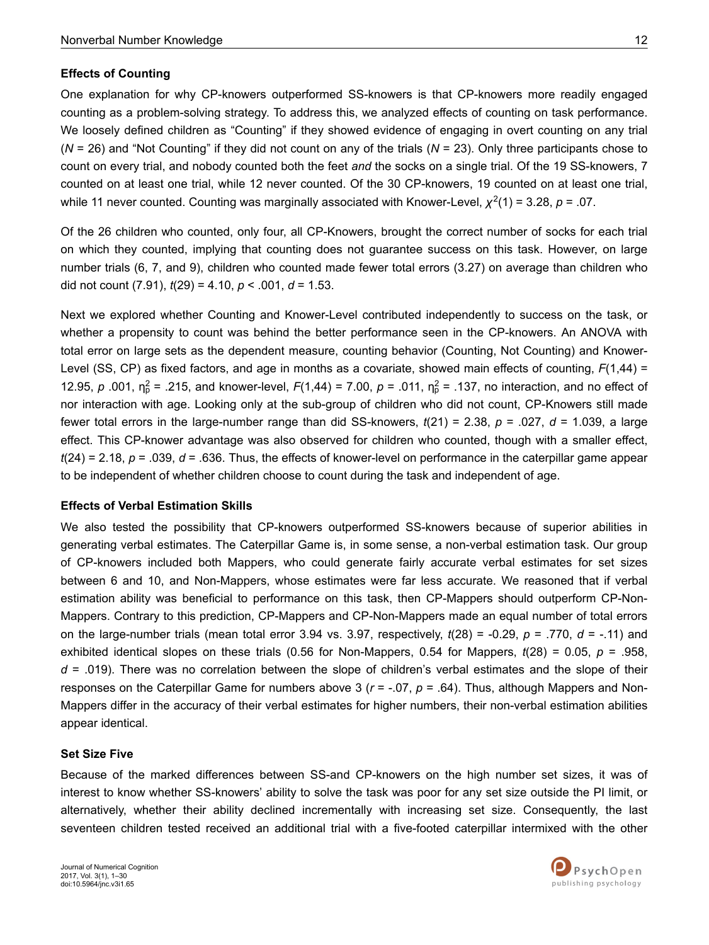### **Effects of Counting**

One explanation for why CP-knowers outperformed SS-knowers is that CP-knowers more readily engaged counting as a problem-solving strategy. To address this, we analyzed effects of counting on task performance. We loosely defined children as "Counting" if they showed evidence of engaging in overt counting on any trial (*N* = 26) and "Not Counting" if they did not count on any of the trials (*N* = 23). Only three participants chose to count on every trial, and nobody counted both the feet *and* the socks on a single trial. Of the 19 SS-knowers, 7 counted on at least one trial, while 12 never counted. Of the 30 CP-knowers, 19 counted on at least one trial, while 11 never counted. Counting was marginally associated with Knower-Level, *χ* 2 (1) = 3.28, *p* = .07.

Of the 26 children who counted, only four, all CP-Knowers, brought the correct number of socks for each trial on which they counted, implying that counting does not guarantee success on this task. However, on large number trials (6, 7, and 9), children who counted made fewer total errors (3.27) on average than children who did not count (7.91), *t*(29) = 4.10, *p* < .001, *d* = 1.53.

Next we explored whether Counting and Knower-Level contributed independently to success on the task, or whether a propensity to count was behind the better performance seen in the CP-knowers. An ANOVA with total error on large sets as the dependent measure, counting behavior (Counting, Not Counting) and Knower-Level (SS, CP) as fixed factors, and age in months as a covariate, showed main effects of counting, *F*(1,44) = 12.95,  $p$  .001,  $n_p^2$  = .215, and knower-level,  $F(1,44) = 7.00$ ,  $p = .011$ ,  $n_p^2 = .137$ , no interaction, and no effect of nor interaction with age. Looking only at the sub-group of children who did not count, CP-Knowers still made fewer total errors in the large-number range than did SS-knowers, *t*(21) = 2.38, *p* = .027, *d* = 1.039, a large effect. This CP-knower advantage was also observed for children who counted, though with a smaller effect, *t*(24) = 2.18, *p* = .039, *d* = .636. Thus, the effects of knower-level on performance in the caterpillar game appear to be independent of whether children choose to count during the task and independent of age.

### **Effects of Verbal Estimation Skills**

We also tested the possibility that CP-knowers outperformed SS-knowers because of superior abilities in generating verbal estimates. The Caterpillar Game is, in some sense, a non-verbal estimation task. Our group of CP-knowers included both Mappers, who could generate fairly accurate verbal estimates for set sizes between 6 and 10, and Non-Mappers, whose estimates were far less accurate. We reasoned that if verbal estimation ability was beneficial to performance on this task, then CP-Mappers should outperform CP-Non-Mappers. Contrary to this prediction, CP-Mappers and CP-Non-Mappers made an equal number of total errors on the large-number trials (mean total error 3.94 vs. 3.97, respectively, *t*(28) = -0.29, *p* = .770, *d* = -.11) and exhibited identical slopes on these trials (0.56 for Non-Mappers, 0.54 for Mappers, *t*(28) = 0.05, *p* = .958, *d* = .019). There was no correlation between the slope of children's verbal estimates and the slope of their responses on the Caterpillar Game for numbers above 3 ( $r = -.07$ ,  $p = .64$ ). Thus, although Mappers and Non-Mappers differ in the accuracy of their verbal estimates for higher numbers, their non-verbal estimation abilities appear identical.

#### **Set Size Five**

Because of the marked differences between SS-and CP-knowers on the high number set sizes, it was of interest to know whether SS-knowers' ability to solve the task was poor for any set size outside the PI limit, or alternatively, whether their ability declined incrementally with increasing set size. Consequently, the last seventeen children tested received an additional trial with a five-footed caterpillar intermixed with the other

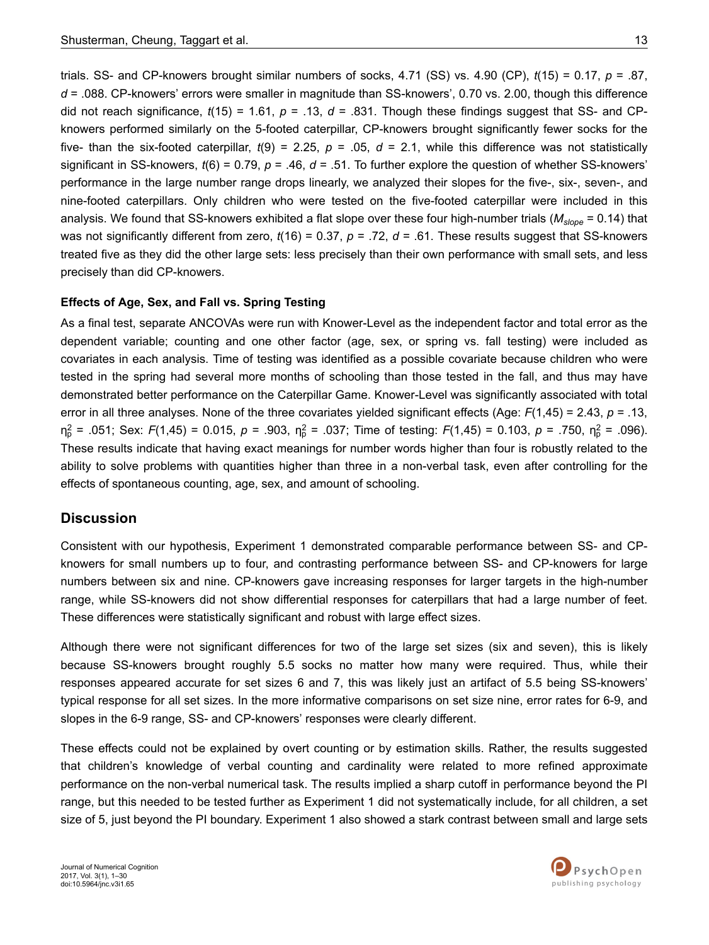trials. SS- and CP-knowers brought similar numbers of socks, 4.71 (SS) vs. 4.90 (CP), *t*(15) = 0.17, *p* = .87, *d* = .088. CP-knowers' errors were smaller in magnitude than SS-knowers', 0.70 vs. 2.00, though this difference did not reach significance,  $t(15) = 1.61$ ,  $p = .13$ ,  $d = .831$ . Though these findings suggest that SS- and CPknowers performed similarly on the 5-footed caterpillar, CP-knowers brought significantly fewer socks for the five- than the six-footed caterpillar,  $t(9) = 2.25$ ,  $p = .05$ ,  $d = 2.1$ , while this difference was not statistically significant in SS-knowers, *t*(6) = 0.79, *p* = .46, *d* = .51. To further explore the question of whether SS-knowers' performance in the large number range drops linearly, we analyzed their slopes for the five-, six-, seven-, and nine-footed caterpillars. Only children who were tested on the five-footed caterpillar were included in this analysis. We found that SS-knowers exhibited a flat slope over these four high-number trials (*Mslope* = 0.14) that was not significantly different from zero,  $t(16) = 0.37$ ,  $p = .72$ ,  $d = .61$ . These results suggest that SS-knowers treated five as they did the other large sets: less precisely than their own performance with small sets, and less precisely than did CP-knowers.

#### **Effects of Age, Sex, and Fall vs. Spring Testing**

As a final test, separate ANCOVAs were run with Knower-Level as the independent factor and total error as the dependent variable; counting and one other factor (age, sex, or spring vs. fall testing) were included as covariates in each analysis. Time of testing was identified as a possible covariate because children who were tested in the spring had several more months of schooling than those tested in the fall, and thus may have demonstrated better performance on the Caterpillar Game. Knower-Level was significantly associated with total error in all three analyses. None of the three covariates yielded significant effects (Age: *F*(1,45) = 2.43, *p* = .13,  $\eta_{p}^{2}$  = .051; Sex: *F*(1,45) = 0.015, *p* = .903,  $\eta_{p}^{2}$  = .037; Time of testing: *F*(1,45) = 0.103, *p* = .750,  $\eta_{p}^{2}$  = .096). These results indicate that having exact meanings for number words higher than four is robustly related to the ability to solve problems with quantities higher than three in a non-verbal task, even after controlling for the effects of spontaneous counting, age, sex, and amount of schooling.

### **Discussion**

Consistent with our hypothesis, Experiment 1 demonstrated comparable performance between SS- and CPknowers for small numbers up to four, and contrasting performance between SS- and CP-knowers for large numbers between six and nine. CP-knowers gave increasing responses for larger targets in the high-number range, while SS-knowers did not show differential responses for caterpillars that had a large number of feet. These differences were statistically significant and robust with large effect sizes.

Although there were not significant differences for two of the large set sizes (six and seven), this is likely because SS-knowers brought roughly 5.5 socks no matter how many were required. Thus, while their responses appeared accurate for set sizes 6 and 7, this was likely just an artifact of 5.5 being SS-knowers' typical response for all set sizes. In the more informative comparisons on set size nine, error rates for 6-9, and slopes in the 6-9 range, SS- and CP-knowers' responses were clearly different.

These effects could not be explained by overt counting or by estimation skills. Rather, the results suggested that children's knowledge of verbal counting and cardinality were related to more refined approximate performance on the non-verbal numerical task. The results implied a sharp cutoff in performance beyond the PI range, but this needed to be tested further as Experiment 1 did not systematically include, for all children, a set size of 5, just beyond the PI boundary. Experiment 1 also showed a stark contrast between small and large sets

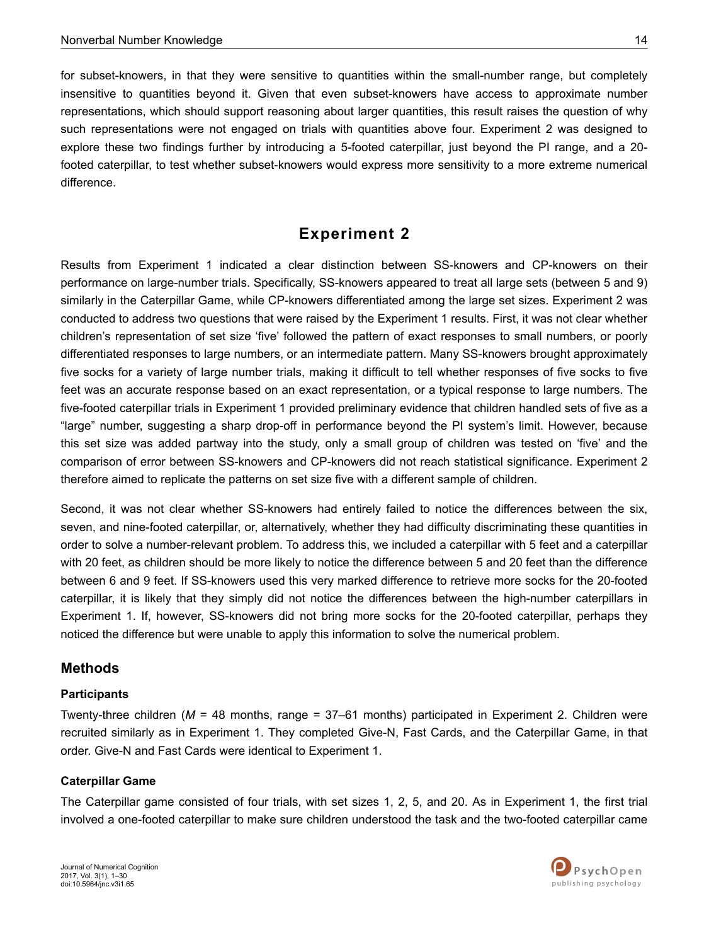for subset-knowers, in that they were sensitive to quantities within the small-number range, but completely insensitive to quantities beyond it. Given that even subset-knowers have access to approximate number representations, which should support reasoning about larger quantities, this result raises the question of why such representations were not engaged on trials with quantities above four. Experiment 2 was designed to explore these two findings further by introducing a 5-footed caterpillar, just beyond the PI range, and a 20 footed caterpillar, to test whether subset-knowers would express more sensitivity to a more extreme numerical difference.

## **Experiment 2**

Results from Experiment 1 indicated a clear distinction between SS-knowers and CP-knowers on their performance on large-number trials. Specifically, SS-knowers appeared to treat all large sets (between 5 and 9) similarly in the Caterpillar Game, while CP-knowers differentiated among the large set sizes. Experiment 2 was conducted to address two questions that were raised by the Experiment 1 results. First, it was not clear whether children's representation of set size 'five' followed the pattern of exact responses to small numbers, or poorly differentiated responses to large numbers, or an intermediate pattern. Many SS-knowers brought approximately five socks for a variety of large number trials, making it difficult to tell whether responses of five socks to five feet was an accurate response based on an exact representation, or a typical response to large numbers. The five-footed caterpillar trials in Experiment 1 provided preliminary evidence that children handled sets of five as a "large" number, suggesting a sharp drop-off in performance beyond the PI system's limit. However, because this set size was added partway into the study, only a small group of children was tested on 'five' and the comparison of error between SS-knowers and CP-knowers did not reach statistical significance. Experiment 2 therefore aimed to replicate the patterns on set size five with a different sample of children.

Second, it was not clear whether SS-knowers had entirely failed to notice the differences between the six, seven, and nine-footed caterpillar, or, alternatively, whether they had difficulty discriminating these quantities in order to solve a number-relevant problem. To address this, we included a caterpillar with 5 feet and a caterpillar with 20 feet, as children should be more likely to notice the difference between 5 and 20 feet than the difference between 6 and 9 feet. If SS-knowers used this very marked difference to retrieve more socks for the 20-footed caterpillar, it is likely that they simply did not notice the differences between the high-number caterpillars in Experiment 1. If, however, SS-knowers did not bring more socks for the 20-footed caterpillar, perhaps they noticed the difference but were unable to apply this information to solve the numerical problem.

### **Methods**

#### **Participants**

Twenty-three children (*M* = 48 months, range = 37–61 months) participated in Experiment 2. Children were recruited similarly as in Experiment 1. They completed Give-N, Fast Cards, and the Caterpillar Game, in that order. Give-N and Fast Cards were identical to Experiment 1.

#### **Caterpillar Game**

The Caterpillar game consisted of four trials, with set sizes 1, 2, 5, and 20. As in Experiment 1, the first trial involved a one-footed caterpillar to make sure children understood the task and the two-footed caterpillar came

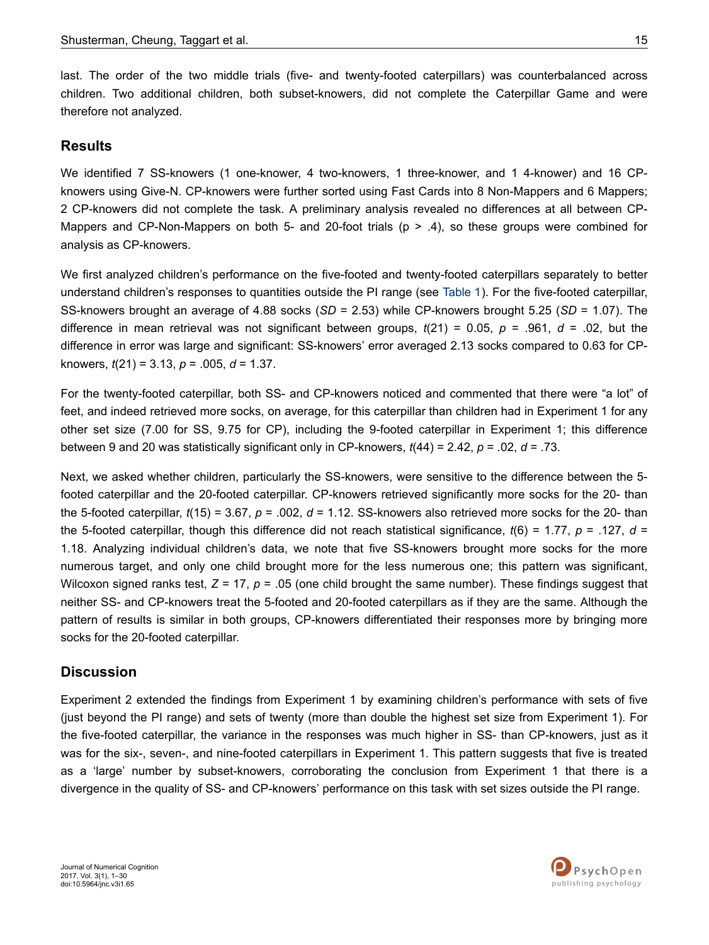last. The order of the two middle trials (five- and twenty-footed caterpillars) was counterbalanced across children. Two additional children, both subset-knowers, did not complete the Caterpillar Game and were therefore not analyzed.

## **Results**

We identified 7 SS-knowers (1 one-knower, 4 two-knowers, 1 three-knower, and 1 4-knower) and 16 CPknowers using Give-N. CP-knowers were further sorted using Fast Cards into 8 Non-Mappers and 6 Mappers; 2 CP-knowers did not complete the task. A preliminary analysis revealed no differences at all between CP-Mappers and CP-Non-Mappers on both 5- and 20-foot trials ( $p > .4$ ), so these groups were combined for analysis as CP-knowers.

We first analyzed children's performance on the five-footed and twenty-footed caterpillars separately to better understand children's responses to quantities outside the PI range (see [Table 1\)](#page-9-0). For the five-footed caterpillar, SS-knowers brought an average of 4.88 socks (*SD* = 2.53) while CP-knowers brought 5.25 (*SD* = 1.07). The difference in mean retrieval was not significant between groups, *t*(21) = 0.05, *p* = .961, *d* = .02, but the difference in error was large and significant: SS-knowers' error averaged 2.13 socks compared to 0.63 for CPknowers, *t*(21) = 3.13, *p* = .005, *d* = 1.37.

For the twenty-footed caterpillar, both SS- and CP-knowers noticed and commented that there were "a lot" of feet, and indeed retrieved more socks, on average, for this caterpillar than children had in Experiment 1 for any other set size (7.00 for SS, 9.75 for CP), including the 9-footed caterpillar in Experiment 1; this difference between 9 and 20 was statistically significant only in CP-knowers, *t*(44) = 2.42, *p* = .02, *d* = .73.

Next, we asked whether children, particularly the SS-knowers, were sensitive to the difference between the 5 footed caterpillar and the 20-footed caterpillar. CP-knowers retrieved significantly more socks for the 20- than the 5-footed caterpillar, *t*(15) = 3.67, *p* = .002, *d* = 1.12. SS-knowers also retrieved more socks for the 20- than the 5-footed caterpillar, though this difference did not reach statistical significance, *t*(6) = 1.77, *p* = .127, *d* = 1.18. Analyzing individual children's data, we note that five SS-knowers brought more socks for the more numerous target, and only one child brought more for the less numerous one; this pattern was significant, Wilcoxon signed ranks test,  $Z = 17$ ,  $p = .05$  (one child brought the same number). These findings suggest that neither SS- and CP-knowers treat the 5-footed and 20-footed caterpillars as if they are the same. Although the pattern of results is similar in both groups, CP-knowers differentiated their responses more by bringing more socks for the 20-footed caterpillar.

## **Discussion**

Experiment 2 extended the findings from Experiment 1 by examining children's performance with sets of five (just beyond the PI range) and sets of twenty (more than double the highest set size from Experiment 1). For the five-footed caterpillar, the variance in the responses was much higher in SS- than CP-knowers, just as it was for the six-, seven-, and nine-footed caterpillars in Experiment 1. This pattern suggests that five is treated as a 'large' number by subset-knowers, corroborating the conclusion from Experiment 1 that there is a divergence in the quality of SS- and CP-knowers' performance on this task with set sizes outside the PI range.

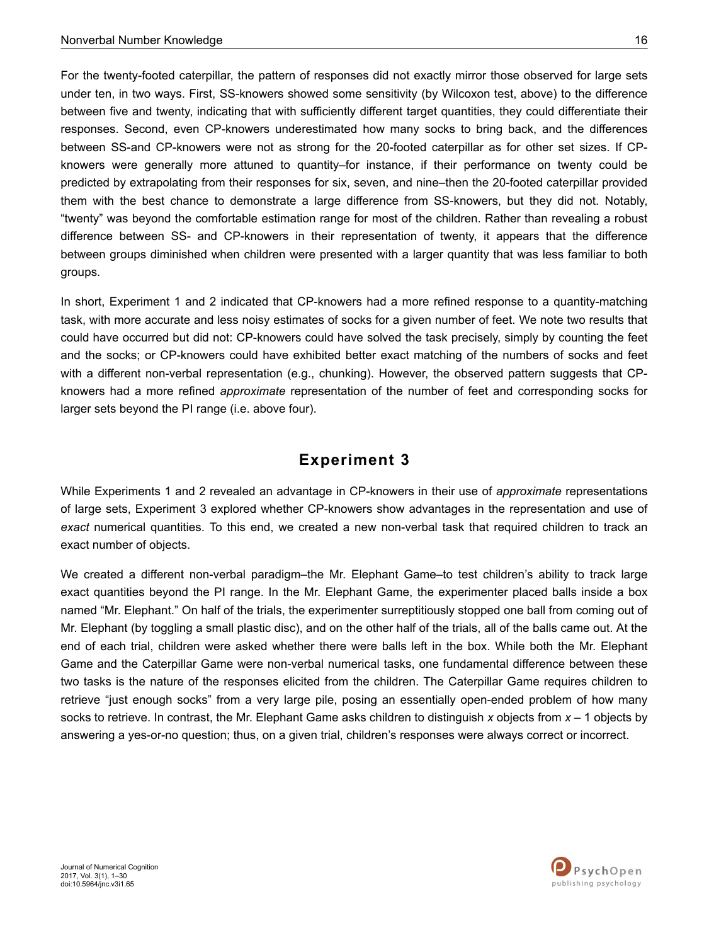For the twenty-footed caterpillar, the pattern of responses did not exactly mirror those observed for large sets under ten, in two ways. First, SS-knowers showed some sensitivity (by Wilcoxon test, above) to the difference between five and twenty, indicating that with sufficiently different target quantities, they could differentiate their responses. Second, even CP-knowers underestimated how many socks to bring back, and the differences between SS-and CP-knowers were not as strong for the 20-footed caterpillar as for other set sizes. If CPknowers were generally more attuned to quantity–for instance, if their performance on twenty could be predicted by extrapolating from their responses for six, seven, and nine–then the 20-footed caterpillar provided them with the best chance to demonstrate a large difference from SS-knowers, but they did not. Notably, "twenty" was beyond the comfortable estimation range for most of the children. Rather than revealing a robust difference between SS- and CP-knowers in their representation of twenty, it appears that the difference between groups diminished when children were presented with a larger quantity that was less familiar to both groups.

In short, Experiment 1 and 2 indicated that CP-knowers had a more refined response to a quantity-matching task, with more accurate and less noisy estimates of socks for a given number of feet. We note two results that could have occurred but did not: CP-knowers could have solved the task precisely, simply by counting the feet and the socks; or CP-knowers could have exhibited better exact matching of the numbers of socks and feet with a different non-verbal representation (e.g., chunking). However, the observed pattern suggests that CPknowers had a more refined *approximate* representation of the number of feet and corresponding socks for larger sets beyond the PI range (i.e. above four).

## **Experiment 3**

While Experiments 1 and 2 revealed an advantage in CP-knowers in their use of *approximate* representations of large sets, Experiment 3 explored whether CP-knowers show advantages in the representation and use of *exact* numerical quantities. To this end, we created a new non-verbal task that required children to track an exact number of objects.

We created a different non-verbal paradigm–the Mr. Elephant Game–to test children's ability to track large exact quantities beyond the PI range. In the Mr. Elephant Game, the experimenter placed balls inside a box named "Mr. Elephant." On half of the trials, the experimenter surreptitiously stopped one ball from coming out of Mr. Elephant (by toggling a small plastic disc), and on the other half of the trials, all of the balls came out. At the end of each trial, children were asked whether there were balls left in the box. While both the Mr. Elephant Game and the Caterpillar Game were non-verbal numerical tasks, one fundamental difference between these two tasks is the nature of the responses elicited from the children. The Caterpillar Game requires children to retrieve "just enough socks" from a very large pile, posing an essentially open-ended problem of how many socks to retrieve. In contrast, the Mr. Elephant Game asks children to distinguish *x* objects from *x* – 1 objects by answering a yes-or-no question; thus, on a given trial, children's responses were always correct or incorrect.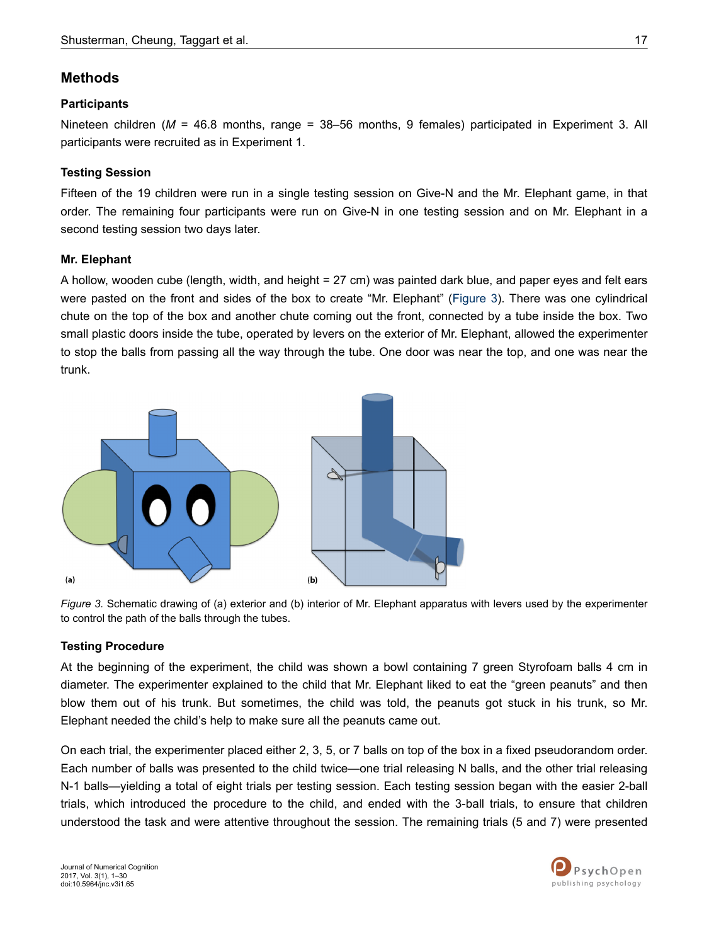## **Methods**

### **Participants**

Nineteen children (*M* = 46.8 months, range = 38–56 months, 9 females) participated in Experiment 3. All participants were recruited as in Experiment 1.

### **Testing Session**

Fifteen of the 19 children were run in a single testing session on Give-N and the Mr. Elephant game, in that order. The remaining four participants were run on Give-N in one testing session and on Mr. Elephant in a second testing session two days later.

### **Mr. Elephant**

A hollow, wooden cube (length, width, and height = 27 cm) was painted dark blue, and paper eyes and felt ears were pasted on the front and sides of the box to create "Mr. Elephant" (Figure 3). There was one cylindrical chute on the top of the box and another chute coming out the front, connected by a tube inside the box. Two small plastic doors inside the tube, operated by levers on the exterior of Mr. Elephant, allowed the experimenter to stop the balls from passing all the way through the tube. One door was near the top, and one was near the trunk.



*Figure 3.* Schematic drawing of (a) exterior and (b) interior of Mr. Elephant apparatus with levers used by the experimenter to control the path of the balls through the tubes.

### **Testing Procedure**

At the beginning of the experiment, the child was shown a bowl containing 7 green Styrofoam balls 4 cm in diameter. The experimenter explained to the child that Mr. Elephant liked to eat the "green peanuts" and then blow them out of his trunk. But sometimes, the child was told, the peanuts got stuck in his trunk, so Mr. Elephant needed the child's help to make sure all the peanuts came out.

On each trial, the experimenter placed either 2, 3, 5, or 7 balls on top of the box in a fixed pseudorandom order. Each number of balls was presented to the child twice—one trial releasing N balls, and the other trial releasing N-1 balls—yielding a total of eight trials per testing session. Each testing session began with the easier 2-ball trials, which introduced the procedure to the child, and ended with the 3-ball trials, to ensure that children understood the task and were attentive throughout the session. The remaining trials (5 and 7) were presented

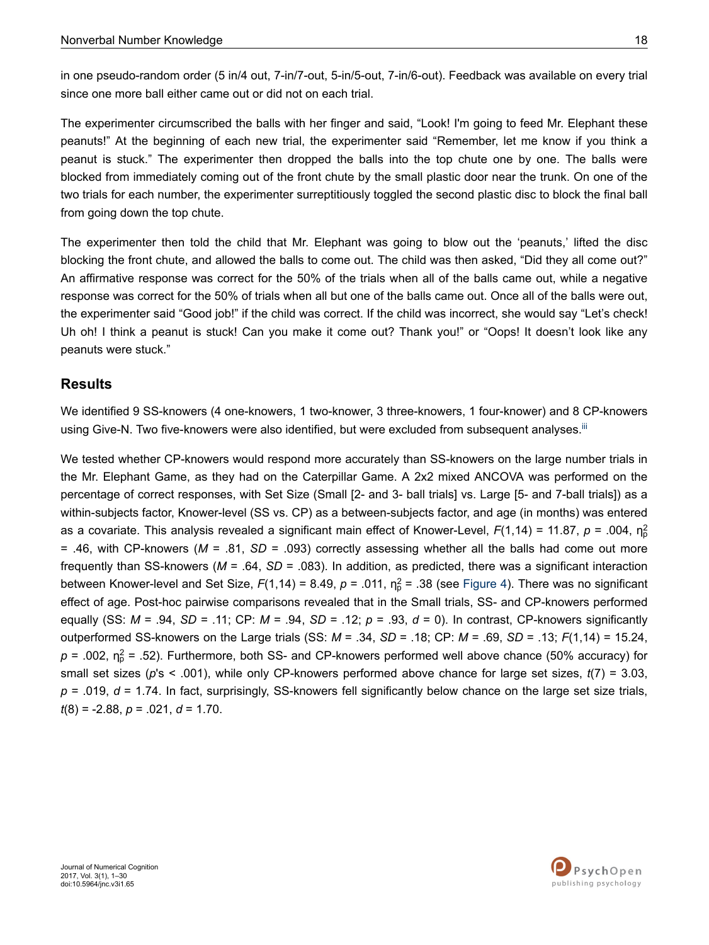in one pseudo-random order (5 in/4 out, 7-in/7-out, 5-in/5-out, 7-in/6-out). Feedback was available on every trial since one more ball either came out or did not on each trial.

The experimenter circumscribed the balls with her finger and said, "Look! I'm going to feed Mr. Elephant these peanuts!" At the beginning of each new trial, the experimenter said "Remember, let me know if you think a peanut is stuck." The experimenter then dropped the balls into the top chute one by one. The balls were blocked from immediately coming out of the front chute by the small plastic door near the trunk. On one of the two trials for each number, the experimenter surreptitiously toggled the second plastic disc to block the final ball from going down the top chute.

The experimenter then told the child that Mr. Elephant was going to blow out the 'peanuts,' lifted the disc blocking the front chute, and allowed the balls to come out. The child was then asked, "Did they all come out?" An affirmative response was correct for the 50% of the trials when all of the balls came out, while a negative response was correct for the 50% of trials when all but one of the balls came out. Once all of the balls were out, the experimenter said "Good job!" if the child was correct. If the child was incorrect, she would say "Let's check! Uh oh! I think a peanut is stuck! Can you make it come out? Thank you!" or "Oops! It doesn't look like any peanuts were stuck."

## **Results**

We identified 9 SS-knowers (4 one-knowers, 1 two-knower, 3 three-knowers, 1 four-knower) and 8 CP-knowers using Give-N. Two five-knowers were also identified, but were excluded from subsequent analyses.<sup>[iii](#page-24-0)</sup>

We tested whether CP-knowers would respond more accurately than SS-knowers on the large number trials in the Mr. Elephant Game, as they had on the Caterpillar Game. A 2x2 mixed ANCOVA was performed on the percentage of correct responses, with Set Size (Small [2- and 3- ball trials] vs. Large [5- and 7-ball trials]) as a within-subjects factor, Knower-level (SS vs. CP) as a between-subjects factor, and age (in months) was entered as a covariate. This analysis revealed a significant main effect of Knower-Level, F(1,14) = 11.87, *p* = .004, ηβ = .46, with CP-knowers (*M* = .81, *SD* = .093) correctly assessing whether all the balls had come out more frequently than SS-knowers (*M* = .64, *SD* = .083). In addition, as predicted, there was a significant interaction between Knower-level and Set Size,  $F(1,14) = 8.49$ ,  $p = .011$ ,  $n_p^2 = .38$  (see [Figure 4](#page-18-0)). There was no significant effect of age. Post-hoc pairwise comparisons revealed that in the Small trials, SS- and CP-knowers performed equally (SS: *M* = .94, *SD* = .11; CP: *M* = .94, *SD* = .12; *p* = .93, *d* = 0). In contrast, CP-knowers significantly outperformed SS-knowers on the Large trials (SS: *M* = .34, *SD* = .18; CP: *M* = .69, *SD* = .13; *F*(1,14) = 15.24,  $p$  = .002,  $n_{\rm p}^2$  = .52). Furthermore, both SS- and CP-knowers performed well above chance (50% accuracy) for small set sizes (*p*'s < .001), while only CP-knowers performed above chance for large set sizes, *t*(7) = 3.03, *p* = .019, *d* = 1.74. In fact, surprisingly, SS-knowers fell significantly below chance on the large set size trials, *t*(8) = -2.88, *p* = .021, *d* = 1.70.

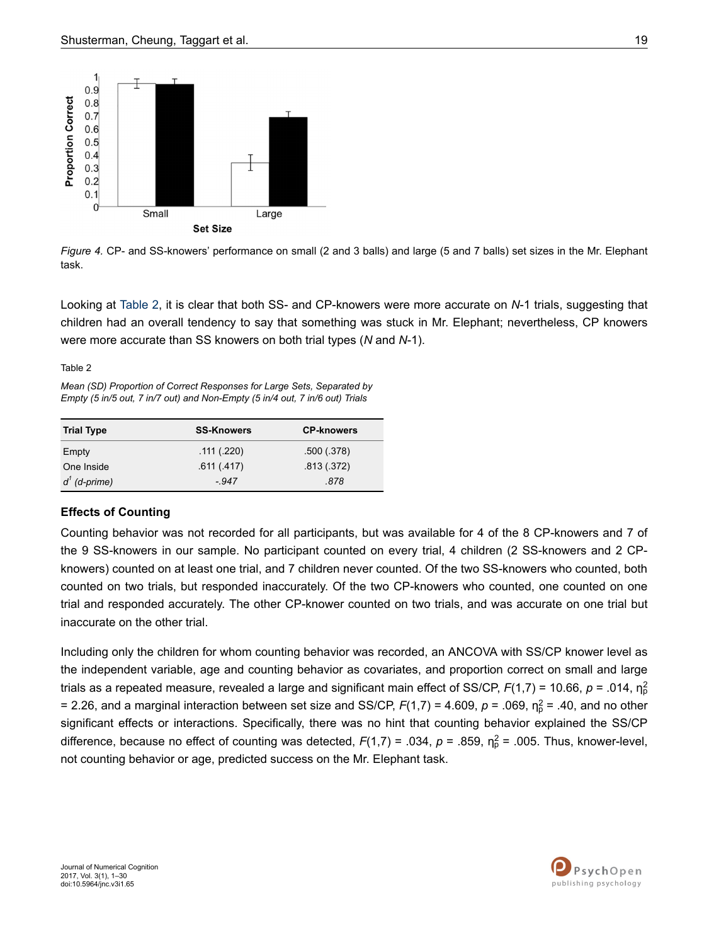<span id="page-18-0"></span>

*Figure 4.* CP- and SS-knowers' performance on small (2 and 3 balls) and large (5 and 7 balls) set sizes in the Mr. Elephant task.

Looking at Table 2, it is clear that both SS- and CP-knowers were more accurate on *N*-1 trials, suggesting that children had an overall tendency to say that something was stuck in Mr. Elephant; nevertheless, CP knowers were more accurate than SS knowers on both trial types (*N* and *N*-1).

Table 2

*Mean (SD) Proportion of Correct Responses for Large Sets, Separated by Empty (5 in/5 out, 7 in/7 out) and Non-Empty (5 in/4 out, 7 in/6 out) Trials*

| <b>Trial Type</b> | <b>SS-Knowers</b> | <b>CP-knowers</b> |
|-------------------|-------------------|-------------------|
| Empty             | .111(.220)        | .500(.378)        |
| One Inside        | .611(.417)        | .813(.372)        |
| $d^1$ (d-prime)   | $-947$            | .878              |

### **Effects of Counting**

Counting behavior was not recorded for all participants, but was available for 4 of the 8 CP-knowers and 7 of the 9 SS-knowers in our sample. No participant counted on every trial, 4 children (2 SS-knowers and 2 CPknowers) counted on at least one trial, and 7 children never counted. Of the two SS-knowers who counted, both counted on two trials, but responded inaccurately. Of the two CP-knowers who counted, one counted on one trial and responded accurately. The other CP-knower counted on two trials, and was accurate on one trial but inaccurate on the other trial.

Including only the children for whom counting behavior was recorded, an ANCOVA with SS/CP knower level as the independent variable, age and counting behavior as covariates, and proportion correct on small and large trials as a repeated measure, revealed a large and significant main effect of SS/CP, F(1,7) = 10.66, *p* = .014, ηβ = 2.26, and a marginal interaction between set size and SS/CP,  $F(1,7)$  = 4.609,  $p$  = .069,  $\eta_p^2$  = .40, and no other significant effects or interactions. Specifically, there was no hint that counting behavior explained the SS/CP difference, because no effect of counting was detected,  $F(1,7) = .034$ ,  $p = .859$ ,  $\eta_p^2 = .005$ . Thus, knower-level, not counting behavior or age, predicted success on the Mr. Elephant task.

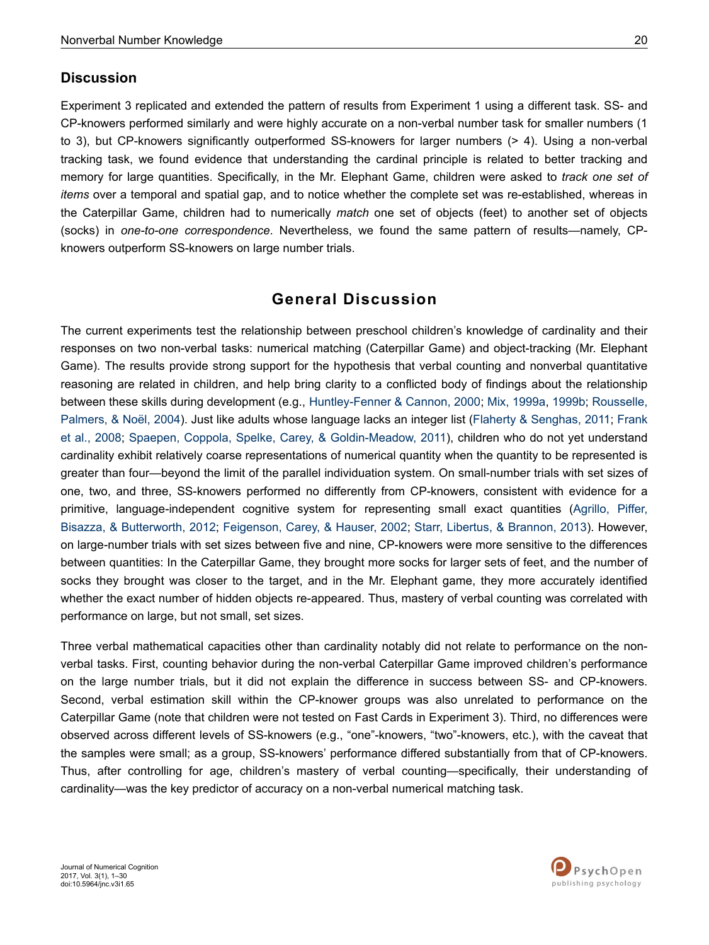## **Discussion**

Experiment 3 replicated and extended the pattern of results from Experiment 1 using a different task. SS- and CP-knowers performed similarly and were highly accurate on a non-verbal number task for smaller numbers (1 to 3), but CP-knowers significantly outperformed SS-knowers for larger numbers (> 4). Using a non-verbal tracking task, we found evidence that understanding the cardinal principle is related to better tracking and memory for large quantities. Specifically, in the Mr. Elephant Game, children were asked to *track one set of items* over a temporal and spatial gap, and to notice whether the complete set was re-established, whereas in the Caterpillar Game, children had to numerically *match* one set of objects (feet) to another set of objects (socks) in *one-to-one correspondence*. Nevertheless, we found the same pattern of results—namely, CPknowers outperform SS-knowers on large number trials.

## **General Discussion**

The current experiments test the relationship between preschool children's knowledge of cardinality and their responses on two non-verbal tasks: numerical matching (Caterpillar Game) and object-tracking (Mr. Elephant Game). The results provide strong support for the hypothesis that verbal counting and nonverbal quantitative reasoning are related in children, and help bring clarity to a conflicted body of findings about the relationship between these skills during development (e.g., [Huntley-Fenner & Cannon, 2000;](#page-26-0) [Mix, 1999a, 1999b;](#page-27-0) [Rousselle,](#page-28-0) [Palmers, & Noël, 2004\)](#page-28-0). Just like adults whose language lacks an integer list ([Flaherty & Senghas, 2011;](#page-25-0) [Frank](#page-25-0) [et al., 2008](#page-25-0); [Spaepen, Coppola, Spelke, Carey, & Goldin-Meadow, 2011](#page-28-0)), children who do not yet understand cardinality exhibit relatively coarse representations of numerical quantity when the quantity to be represented is greater than four—beyond the limit of the parallel individuation system. On small-number trials with set sizes of one, two, and three, SS-knowers performed no differently from CP-knowers, consistent with evidence for a primitive, language-independent cognitive system for representing small exact quantities ([Agrillo, Piffer,](#page-24-0) [Bisazza, & Butterworth, 2012](#page-24-0); [Feigenson, Carey, & Hauser, 2002](#page-25-0); [Starr, Libertus, & Brannon, 2013](#page-28-0)). However, on large-number trials with set sizes between five and nine, CP-knowers were more sensitive to the differences between quantities: In the Caterpillar Game, they brought more socks for larger sets of feet, and the number of socks they brought was closer to the target, and in the Mr. Elephant game, they more accurately identified whether the exact number of hidden objects re-appeared. Thus, mastery of verbal counting was correlated with performance on large, but not small, set sizes.

Three verbal mathematical capacities other than cardinality notably did not relate to performance on the nonverbal tasks. First, counting behavior during the non-verbal Caterpillar Game improved children's performance on the large number trials, but it did not explain the difference in success between SS- and CP-knowers. Second, verbal estimation skill within the CP-knower groups was also unrelated to performance on the Caterpillar Game (note that children were not tested on Fast Cards in Experiment 3). Third, no differences were observed across different levels of SS-knowers (e.g., "one"-knowers, "two"-knowers, etc.), with the caveat that the samples were small; as a group, SS-knowers' performance differed substantially from that of CP-knowers. Thus, after controlling for age, children's mastery of verbal counting—specifically, their understanding of cardinality—was the key predictor of accuracy on a non-verbal numerical matching task.

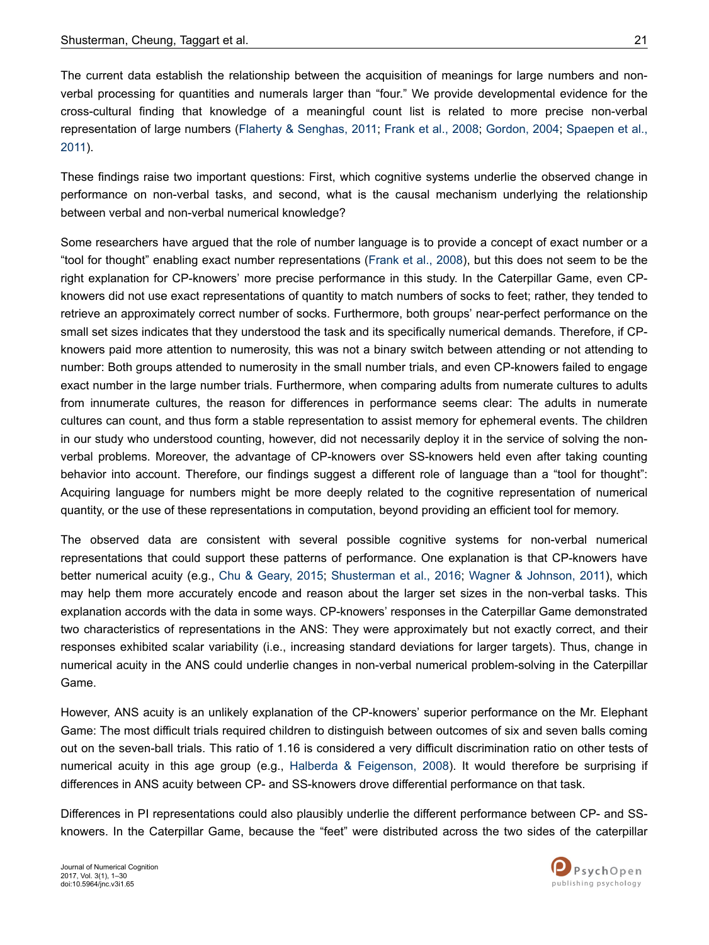The current data establish the relationship between the acquisition of meanings for large numbers and nonverbal processing for quantities and numerals larger than "four." We provide developmental evidence for the cross-cultural finding that knowledge of a meaningful count list is related to more precise non-verbal representation of large numbers ([Flaherty & Senghas, 2011](#page-25-0); [Frank et al., 2008](#page-25-0); [Gordon, 2004](#page-26-0); [Spaepen et al.,](#page-28-0) [2011\)](#page-28-0).

These findings raise two important questions: First, which cognitive systems underlie the observed change in performance on non-verbal tasks, and second, what is the causal mechanism underlying the relationship between verbal and non-verbal numerical knowledge?

Some researchers have argued that the role of number language is to provide a concept of exact number or a "tool for thought" enabling exact number representations ([Frank et al., 2008](#page-25-0)), but this does not seem to be the right explanation for CP-knowers' more precise performance in this study. In the Caterpillar Game, even CPknowers did not use exact representations of quantity to match numbers of socks to feet; rather, they tended to retrieve an approximately correct number of socks. Furthermore, both groups' near-perfect performance on the small set sizes indicates that they understood the task and its specifically numerical demands. Therefore, if CPknowers paid more attention to numerosity, this was not a binary switch between attending or not attending to number: Both groups attended to numerosity in the small number trials, and even CP-knowers failed to engage exact number in the large number trials. Furthermore, when comparing adults from numerate cultures to adults from innumerate cultures, the reason for differences in performance seems clear: The adults in numerate cultures can count, and thus form a stable representation to assist memory for ephemeral events. The children in our study who understood counting, however, did not necessarily deploy it in the service of solving the nonverbal problems. Moreover, the advantage of CP-knowers over SS-knowers held even after taking counting behavior into account. Therefore, our findings suggest a different role of language than a "tool for thought": Acquiring language for numbers might be more deeply related to the cognitive representation of numerical quantity, or the use of these representations in computation, beyond providing an efficient tool for memory.

The observed data are consistent with several possible cognitive systems for non-verbal numerical representations that could support these patterns of performance. One explanation is that CP-knowers have better numerical acuity (e.g., [Chu & Geary, 2015;](#page-25-0) [Shusterman et al., 2016;](#page-28-0) [Wagner & Johnson, 2011\)](#page-29-0), which may help them more accurately encode and reason about the larger set sizes in the non-verbal tasks. This explanation accords with the data in some ways. CP-knowers' responses in the Caterpillar Game demonstrated two characteristics of representations in the ANS: They were approximately but not exactly correct, and their responses exhibited scalar variability (i.e., increasing standard deviations for larger targets). Thus, change in numerical acuity in the ANS could underlie changes in non-verbal numerical problem-solving in the Caterpillar Game.

However, ANS acuity is an unlikely explanation of the CP-knowers' superior performance on the Mr. Elephant Game: The most difficult trials required children to distinguish between outcomes of six and seven balls coming out on the seven-ball trials. This ratio of 1.16 is considered a very difficult discrimination ratio on other tests of numerical acuity in this age group (e.g., [Halberda & Feigenson, 2008](#page-26-0)). It would therefore be surprising if differences in ANS acuity between CP- and SS-knowers drove differential performance on that task.

Differences in PI representations could also plausibly underlie the different performance between CP- and SSknowers. In the Caterpillar Game, because the "feet" were distributed across the two sides of the caterpillar

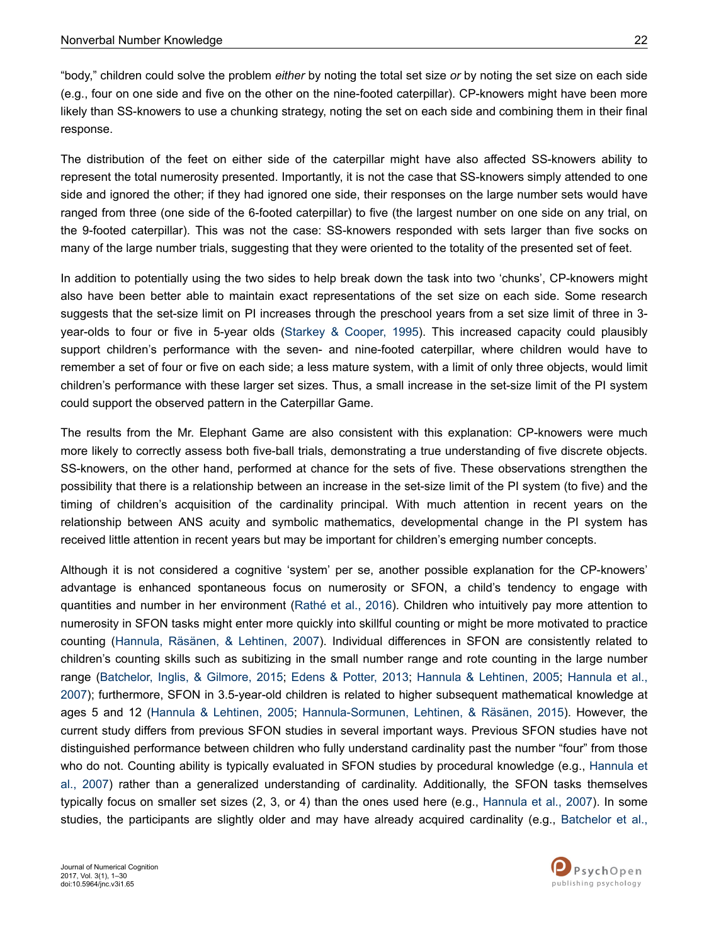"body," children could solve the problem *either* by noting the total set size *or* by noting the set size on each side (e.g., four on one side and five on the other on the nine-footed caterpillar). CP-knowers might have been more likely than SS-knowers to use a chunking strategy, noting the set on each side and combining them in their final response.

The distribution of the feet on either side of the caterpillar might have also affected SS-knowers ability to represent the total numerosity presented. Importantly, it is not the case that SS-knowers simply attended to one side and ignored the other; if they had ignored one side, their responses on the large number sets would have ranged from three (one side of the 6-footed caterpillar) to five (the largest number on one side on any trial, on the 9-footed caterpillar). This was not the case: SS-knowers responded with sets larger than five socks on many of the large number trials, suggesting that they were oriented to the totality of the presented set of feet.

In addition to potentially using the two sides to help break down the task into two 'chunks', CP-knowers might also have been better able to maintain exact representations of the set size on each side. Some research suggests that the set-size limit on PI increases through the preschool years from a set size limit of three in 3 year-olds to four or five in 5-year olds [\(Starkey & Cooper, 1995\)](#page-28-0). This increased capacity could plausibly support children's performance with the seven- and nine-footed caterpillar, where children would have to remember a set of four or five on each side; a less mature system, with a limit of only three objects, would limit children's performance with these larger set sizes. Thus, a small increase in the set-size limit of the PI system could support the observed pattern in the Caterpillar Game.

The results from the Mr. Elephant Game are also consistent with this explanation: CP-knowers were much more likely to correctly assess both five-ball trials, demonstrating a true understanding of five discrete objects. SS-knowers, on the other hand, performed at chance for the sets of five. These observations strengthen the possibility that there is a relationship between an increase in the set-size limit of the PI system (to five) and the timing of children's acquisition of the cardinality principal. With much attention in recent years on the relationship between ANS acuity and symbolic mathematics, developmental change in the PI system has received little attention in recent years but may be important for children's emerging number concepts.

Although it is not considered a cognitive 'system' per se, another possible explanation for the CP-knowers' advantage is enhanced spontaneous focus on numerosity or SFON, a child's tendency to engage with quantities and number in her environment ([Rathé et al., 2016](#page-27-0)). Children who intuitively pay more attention to numerosity in SFON tasks might enter more quickly into skillful counting or might be more motivated to practice counting ([Hannula, Räsänen, & Lehtinen, 2007](#page-26-0)). Individual differences in SFON are consistently related to children's counting skills such as subitizing in the small number range and rote counting in the large number range [\(Batchelor, Inglis, & Gilmore, 2015;](#page-24-0) [Edens & Potter, 2013](#page-25-0); [Hannula & Lehtinen, 2005](#page-26-0); [Hannula et al.,](#page-26-0) [2007](#page-26-0)); furthermore, SFON in 3.5-year-old children is related to higher subsequent mathematical knowledge at ages 5 and 12 ([Hannula & Lehtinen, 2005](#page-26-0); [Hannula-Sormunen, Lehtinen, & Räsänen, 2015\)](#page-26-0). However, the current study differs from previous SFON studies in several important ways. Previous SFON studies have not distinguished performance between children who fully understand cardinality past the number "four" from those who do not. Counting ability is typically evaluated in SFON studies by procedural knowledge (e.g., [Hannula et](#page-26-0) [al., 2007\)](#page-26-0) rather than a generalized understanding of cardinality. Additionally, the SFON tasks themselves typically focus on smaller set sizes (2, 3, or 4) than the ones used here (e.g., [Hannula et al., 2007](#page-26-0)). In some studies, the participants are slightly older and may have already acquired cardinality (e.g., [Batchelor et al.,](#page-24-0)

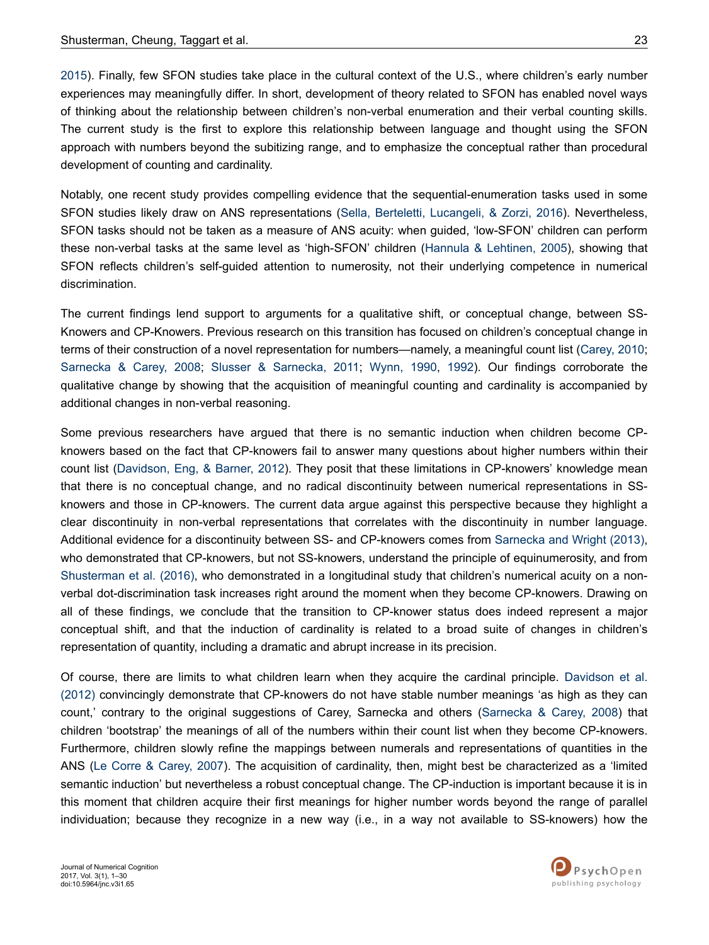[2015](#page-24-0)). Finally, few SFON studies take place in the cultural context of the U.S., where children's early number experiences may meaningfully differ. In short, development of theory related to SFON has enabled novel ways of thinking about the relationship between children's non-verbal enumeration and their verbal counting skills. The current study is the first to explore this relationship between language and thought using the SFON approach with numbers beyond the subitizing range, and to emphasize the conceptual rather than procedural development of counting and cardinality.

Notably, one recent study provides compelling evidence that the sequential-enumeration tasks used in some SFON studies likely draw on ANS representations [\(Sella, Berteletti, Lucangeli, & Zorzi, 2016](#page-28-0)). Nevertheless, SFON tasks should not be taken as a measure of ANS acuity: when guided, 'low-SFON' children can perform these non-verbal tasks at the same level as 'high-SFON' children [\(Hannula & Lehtinen, 2005\)](#page-26-0), showing that SFON reflects children's self-guided attention to numerosity, not their underlying competence in numerical discrimination.

The current findings lend support to arguments for a qualitative shift, or conceptual change, between SS-Knowers and CP-Knowers. Previous research on this transition has focused on children's conceptual change in terms of their construction of a novel representation for numbers—namely, a meaningful count list ([Carey, 2010](#page-25-0); [Sarnecka & Carey, 2008;](#page-28-0) [Slusser & Sarnecka, 2011;](#page-28-0) [Wynn, 1990](#page-29-0), [1992](#page-29-0)). Our findings corroborate the qualitative change by showing that the acquisition of meaningful counting and cardinality is accompanied by additional changes in non-verbal reasoning.

Some previous researchers have argued that there is no semantic induction when children become CPknowers based on the fact that CP-knowers fail to answer many questions about higher numbers within their count list [\(Davidson, Eng, & Barner, 2012](#page-25-0)). They posit that these limitations in CP-knowers' knowledge mean that there is no conceptual change, and no radical discontinuity between numerical representations in SSknowers and those in CP-knowers. The current data argue against this perspective because they highlight a clear discontinuity in non-verbal representations that correlates with the discontinuity in number language. Additional evidence for a discontinuity between SS- and CP-knowers comes from [Sarnecka and Wright \(2013\)](#page-28-0), who demonstrated that CP-knowers, but not SS-knowers, understand the principle of equinumerosity, and from [Shusterman et al. \(2016\)](#page-28-0), who demonstrated in a longitudinal study that children's numerical acuity on a nonverbal dot-discrimination task increases right around the moment when they become CP-knowers. Drawing on all of these findings, we conclude that the transition to CP-knower status does indeed represent a major conceptual shift, and that the induction of cardinality is related to a broad suite of changes in children's representation of quantity, including a dramatic and abrupt increase in its precision.

Of course, there are limits to what children learn when they acquire the cardinal principle. [Davidson et al.](#page-25-0) [\(2012\)](#page-25-0) convincingly demonstrate that CP-knowers do not have stable number meanings 'as high as they can count,' contrary to the original suggestions of Carey, Sarnecka and others ([Sarnecka & Carey, 2008](#page-28-0)) that children 'bootstrap' the meanings of all of the numbers within their count list when they become CP-knowers. Furthermore, children slowly refine the mappings between numerals and representations of quantities in the ANS ([Le Corre & Carey, 2007\)](#page-26-0). The acquisition of cardinality, then, might best be characterized as a 'limited semantic induction' but nevertheless a robust conceptual change. The CP-induction is important because it is in this moment that children acquire their first meanings for higher number words beyond the range of parallel individuation; because they recognize in a new way (i.e., in a way not available to SS-knowers) how the

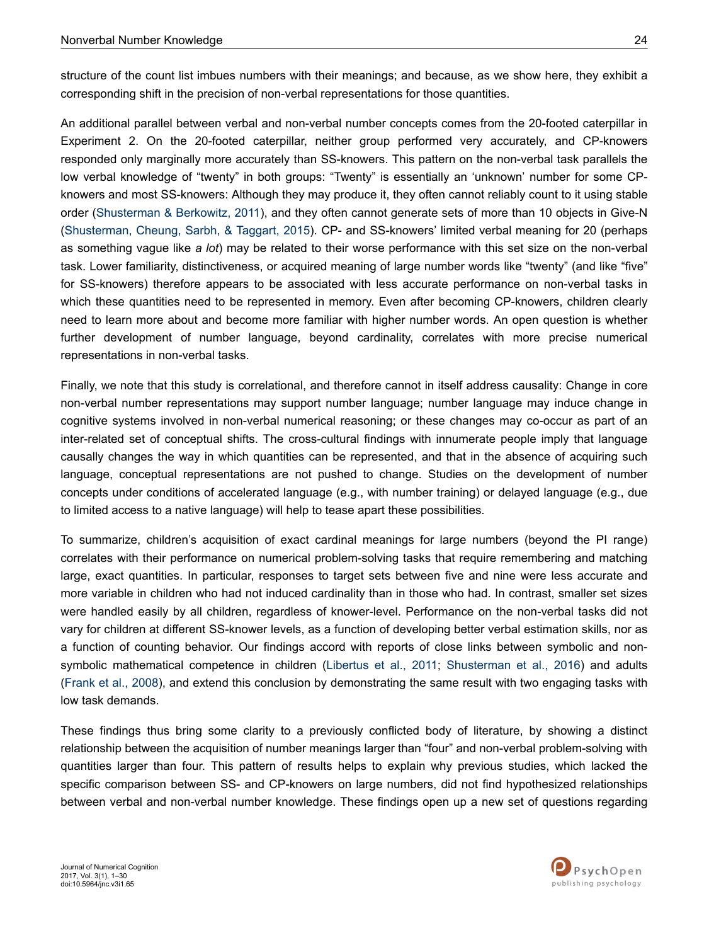structure of the count list imbues numbers with their meanings; and because, as we show here, they exhibit a corresponding shift in the precision of non-verbal representations for those quantities.

An additional parallel between verbal and non-verbal number concepts comes from the 20-footed caterpillar in Experiment 2. On the 20-footed caterpillar, neither group performed very accurately, and CP-knowers responded only marginally more accurately than SS-knowers. This pattern on the non-verbal task parallels the low verbal knowledge of "twenty" in both groups: "Twenty" is essentially an 'unknown' number for some CPknowers and most SS-knowers: Although they may produce it, they often cannot reliably count to it using stable order ([Shusterman & Berkowitz, 2011\)](#page-28-0), and they often cannot generate sets of more than 10 objects in Give-N [\(Shusterman, Cheung, Sarbh, & Taggart, 2015\)](#page-28-0). CP- and SS-knowers' limited verbal meaning for 20 (perhaps as something vague like *a lot*) may be related to their worse performance with this set size on the non-verbal task. Lower familiarity, distinctiveness, or acquired meaning of large number words like "twenty" (and like "five" for SS-knowers) therefore appears to be associated with less accurate performance on non-verbal tasks in which these quantities need to be represented in memory. Even after becoming CP-knowers, children clearly need to learn more about and become more familiar with higher number words. An open question is whether further development of number language, beyond cardinality, correlates with more precise numerical representations in non-verbal tasks.

Finally, we note that this study is correlational, and therefore cannot in itself address causality: Change in core non-verbal number representations may support number language; number language may induce change in cognitive systems involved in non-verbal numerical reasoning; or these changes may co-occur as part of an inter-related set of conceptual shifts. The cross-cultural findings with innumerate people imply that language causally changes the way in which quantities can be represented, and that in the absence of acquiring such language, conceptual representations are not pushed to change. Studies on the development of number concepts under conditions of accelerated language (e.g., with number training) or delayed language (e.g., due to limited access to a native language) will help to tease apart these possibilities.

To summarize, children's acquisition of exact cardinal meanings for large numbers (beyond the PI range) correlates with their performance on numerical problem-solving tasks that require remembering and matching large, exact quantities. In particular, responses to target sets between five and nine were less accurate and more variable in children who had not induced cardinality than in those who had. In contrast, smaller set sizes were handled easily by all children, regardless of knower-level. Performance on the non-verbal tasks did not vary for children at different SS-knower levels, as a function of developing better verbal estimation skills, nor as a function of counting behavior. Our findings accord with reports of close links between symbolic and non-symbolic mathematical competence in children [\(Libertus et al., 2011;](#page-26-0) [Shusterman et al., 2016\)](#page-28-0) and adults [\(Frank et al., 2008](#page-25-0)), and extend this conclusion by demonstrating the same result with two engaging tasks with low task demands.

These findings thus bring some clarity to a previously conflicted body of literature, by showing a distinct relationship between the acquisition of number meanings larger than "four" and non-verbal problem-solving with quantities larger than four. This pattern of results helps to explain why previous studies, which lacked the specific comparison between SS- and CP-knowers on large numbers, did not find hypothesized relationships between verbal and non-verbal number knowledge. These findings open up a new set of questions regarding

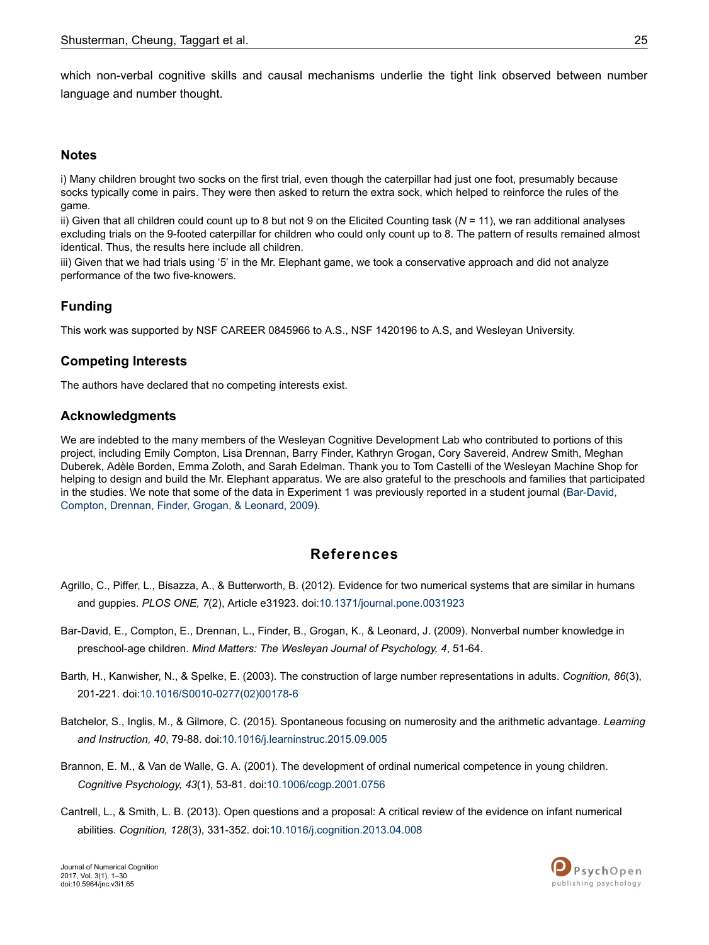<span id="page-24-0"></span>which non-verbal cognitive skills and causal mechanisms underlie the tight link observed between number language and number thought.

### **Notes**

i) Many children brought two socks on the first trial, even though the caterpillar had just one foot, presumably because socks typically come in pairs. They were then asked to return the extra sock, which helped to reinforce the rules of the game.

ii) Given that all children could count up to 8 but not 9 on the Elicited Counting task (*N* = 11), we ran additional analyses excluding trials on the 9-footed caterpillar for children who could only count up to 8. The pattern of results remained almost identical. Thus, the results here include all children.

iii) Given that we had trials using '5' in the Mr. Elephant game, we took a conservative approach and did not analyze performance of the two five-knowers.

## **Funding**

This work was supported by NSF CAREER 0845966 to A.S., NSF 1420196 to A.S, and Wesleyan University.

### **Competing Interests**

The authors have declared that no competing interests exist.

### **Acknowledgments**

We are indebted to the many members of the Wesleyan Cognitive Development Lab who contributed to portions of this project, including Emily Compton, Lisa Drennan, Barry Finder, Kathryn Grogan, Cory Savereid, Andrew Smith, Meghan Duberek, Adèle Borden, Emma Zoloth, and Sarah Edelman. Thank you to Tom Castelli of the Wesleyan Machine Shop for helping to design and build the Mr. Elephant apparatus. We are also grateful to the preschools and families that participated in the studies. We note that some of the data in Experiment 1 was previously reported in a student journal (Bar-David, Compton, Drennan, Finder, Grogan, & Leonard, 2009).

## **References**

- Agrillo, C., Piffer, L., Bisazza, A., & Butterworth, B. (2012). Evidence for two numerical systems that are similar in humans and guppies. *PLOS ONE, 7*(2), Article e31923. doi[:10.1371/journal.pone.0031923](http://doi.org/10.1371/journal.pone.0031923)
- Bar-David, E., Compton, E., Drennan, L., Finder, B., Grogan, K., & Leonard, J. (2009). Nonverbal number knowledge in preschool-age children. *Mind Matters: The Wesleyan Journal of Psychology, 4*, 51-64.
- Barth, H., Kanwisher, N., & Spelke, E. (2003). The construction of large number representations in adults. *Cognition, 86*(3), 201-221. doi:10.1016/S0010-0277(02)00178-6
- Batchelor, S., Inglis, M., & Gilmore, C. (2015). Spontaneous focusing on numerosity and the arithmetic advantage. *Learning and Instruction, 40*, 79-88. doi:[10.1016/j.learninstruc.2015.09.005](http://doi.org/10.1016/j.learninstruc.2015.09.005)
- Brannon, E. M., & Van de Walle, G. A. (2001). The development of ordinal numerical competence in young children. *Cognitive Psychology, 43*(1), 53-81. doi[:10.1006/cogp.2001.0756](http://doi.org/10.1006/cogp.2001.0756)
- Cantrell, L., & Smith, L. B. (2013). Open questions and a proposal: A critical review of the evidence on infant numerical abilities. *Cognition, 128*(3), 331-352. doi:[10.1016/j.cognition.2013.04.008](http://doi.org/10.1016/j.cognition.2013.04.008)

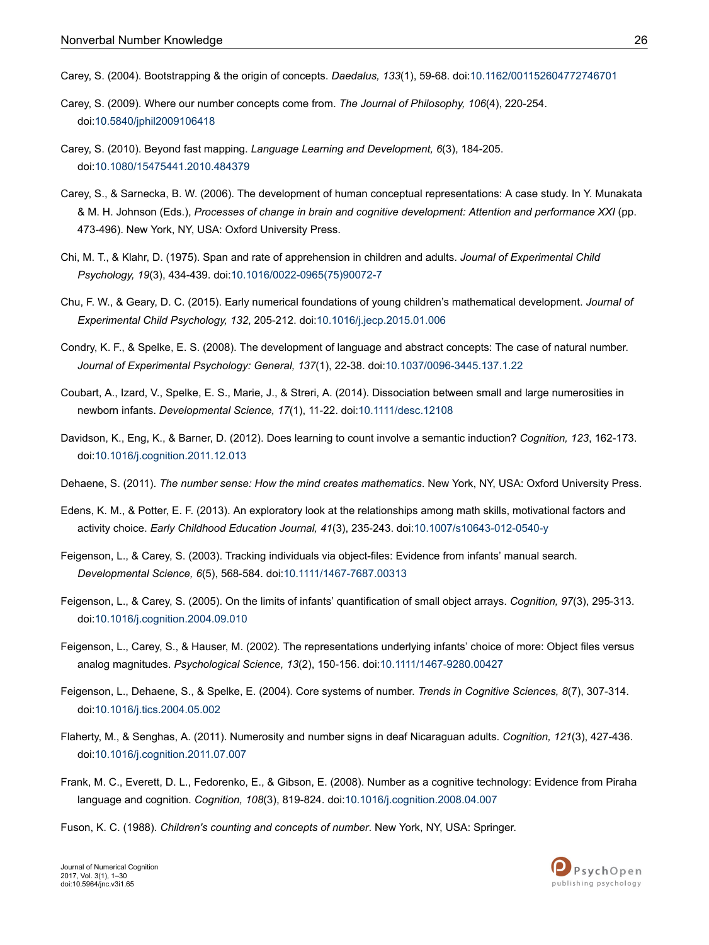- <span id="page-25-0"></span>Carey, S. (2004). Bootstrapping & the origin of concepts. *Daedalus, 133*(1), 59-68. doi[:10.1162/001152604772746701](http://doi.org/10.1162/001152604772746701)
- Carey, S. (2009). Where our number concepts come from. *The Journal of Philosophy, 106*(4), 220-254. doi:[10.5840/jphil2009106418](http://doi.org/10.5840/jphil2009106418)
- Carey, S. (2010). Beyond fast mapping. *Language Learning and Development, 6*(3), 184-205. doi:[10.1080/15475441.2010.484379](http://doi.org/10.1080/15475441.2010.484379)
- Carey, S., & Sarnecka, B. W. (2006). The development of human conceptual representations: A case study. In Y. Munakata & M. H. Johnson (Eds.), *Processes of change in brain and cognitive development: Attention and performance XXI* (pp. 473-496). New York, NY, USA: Oxford University Press.
- Chi, M. T., & Klahr, D. (1975). Span and rate of apprehension in children and adults. *Journal of Experimental Child Psychology, 19*(3), 434-439. doi:10.1016/0022-0965(75)90072-7
- Chu, F. W., & Geary, D. C. (2015). Early numerical foundations of young children's mathematical development. *Journal of Experimental Child Psychology, 132*, 205-212. doi[:10.1016/j.jecp.2015.01.006](http://doi.org/10.1016/j.jecp.2015.01.006)
- Condry, K. F., & Spelke, E. S. (2008). The development of language and abstract concepts: The case of natural number. *Journal of Experimental Psychology: General, 137*(1), 22-38. doi:[10.1037/0096-3445.137.1.22](http://doi.org/10.1037/0096-3445.137.1.22)
- Coubart, A., Izard, V., Spelke, E. S., Marie, J., & Streri, A. (2014). Dissociation between small and large numerosities in newborn infants. *Developmental Science, 17*(1), 11-22. doi[:10.1111/desc.12108](http://doi.org/10.1111/desc.12108)
- Davidson, K., Eng, K., & Barner, D. (2012). Does learning to count involve a semantic induction? *Cognition, 123*, 162-173. doi:[10.1016/j.cognition.2011.12.013](http://doi.org/10.1016/j.cognition.2011.12.013)
- Dehaene, S. (2011). *The number sense: How the mind creates mathematics*. New York, NY, USA: Oxford University Press.
- Edens, K. M., & Potter, E. F. (2013). An exploratory look at the relationships among math skills, motivational factors and activity choice. *Early Childhood Education Journal, 41*(3), 235-243. doi:[10.1007/s10643-012-0540-y](http://doi.org/10.1007/s10643-012-0540-y)
- Feigenson, L., & Carey, S. (2003). Tracking individuals via object-files: Evidence from infants' manual search. *Developmental Science, 6*(5), 568-584. doi[:10.1111/1467-7687.00313](http://doi.org/10.1111/1467-7687.00313)
- Feigenson, L., & Carey, S. (2005). On the limits of infants' quantification of small object arrays. *Cognition, 97*(3), 295-313. doi:[10.1016/j.cognition.2004.09.010](http://doi.org/10.1016/j.cognition.2004.09.010)
- Feigenson, L., Carey, S., & Hauser, M. (2002). The representations underlying infants' choice of more: Object files versus analog magnitudes. *Psychological Science, 13*(2), 150-156. doi[:10.1111/1467-9280.00427](http://doi.org/10.1111/1467-9280.00427)
- Feigenson, L., Dehaene, S., & Spelke, E. (2004). Core systems of number. *Trends in Cognitive Sciences, 8*(7), 307-314. doi:[10.1016/j.tics.2004.05.002](http://doi.org/10.1016/j.tics.2004.05.002)
- Flaherty, M., & Senghas, A. (2011). Numerosity and number signs in deaf Nicaraguan adults. *Cognition, 121*(3), 427-436. doi:[10.1016/j.cognition.2011.07.007](http://doi.org/10.1016/j.cognition.2011.07.007)
- Frank, M. C., Everett, D. L., Fedorenko, E., & Gibson, E. (2008). Number as a cognitive technology: Evidence from Piraha language and cognition. *Cognition, 108*(3), 819-824. doi:[10.1016/j.cognition.2008.04.007](http://doi.org/10.1016/j.cognition.2008.04.007)
- Fuson, K. C. (1988). *Children's counting and concepts of number*. New York, NY, USA: Springer.

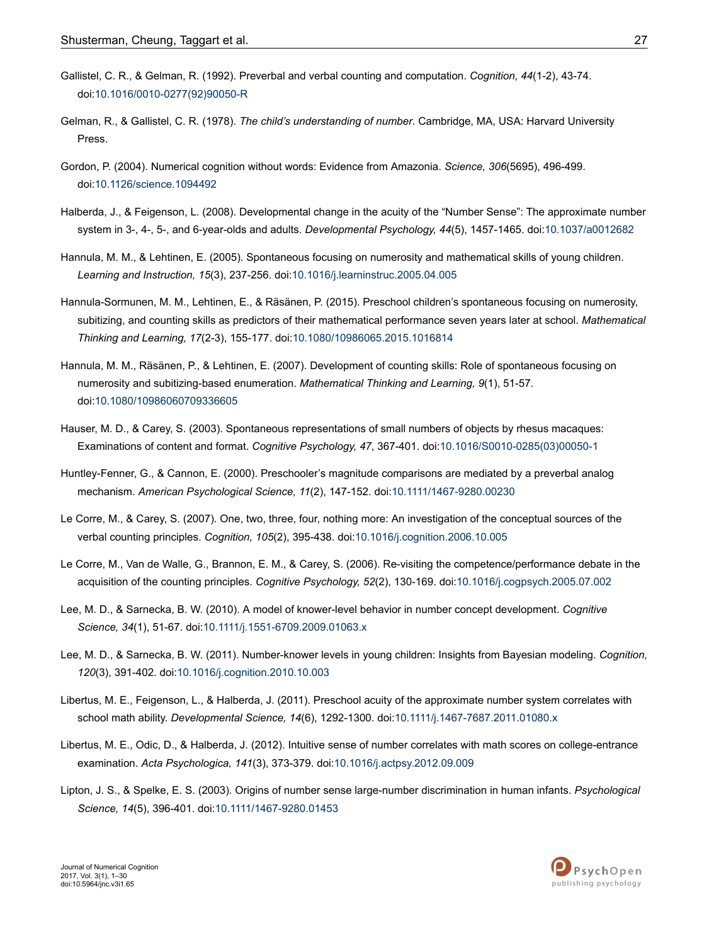- <span id="page-26-0"></span>Gallistel, C. R., & Gelman, R. (1992). Preverbal and verbal counting and computation. *Cognition, 44*(1-2), 43-74. doi:10.1016/0010-0277(92)90050-R
- Gelman, R., & Gallistel, C. R. (1978). *The child's understanding of number*. Cambridge, MA, USA: Harvard University Press.
- Gordon, P. (2004). Numerical cognition without words: Evidence from Amazonia. *Science, 306*(5695), 496-499. doi:[10.1126/science.1094492](http://doi.org/10.1126/science.1094492)
- Halberda, J., & Feigenson, L. (2008). Developmental change in the acuity of the "Number Sense": The approximate number system in 3-, 4-, 5-, and 6-year-olds and adults. *Developmental Psychology, 44*(5), 1457-1465. doi:[10.1037/a0012682](http://doi.org/10.1037/a0012682)
- Hannula, M. M., & Lehtinen, E. (2005). Spontaneous focusing on numerosity and mathematical skills of young children. *Learning and Instruction, 15*(3), 237-256. doi[:10.1016/j.learninstruc.2005.04.005](http://doi.org/10.1016/j.learninstruc.2005.04.005)
- Hannula-Sormunen, M. M., Lehtinen, E., & Räsänen, P. (2015). Preschool children's spontaneous focusing on numerosity, subitizing, and counting skills as predictors of their mathematical performance seven years later at school. *Mathematical Thinking and Learning, 17*(2-3), 155-177. doi:[10.1080/10986065.2015.1016814](http://doi.org/10.1080/10986065.2015.1016814)
- Hannula, M. M., Räsänen, P., & Lehtinen, E. (2007). Development of counting skills: Role of spontaneous focusing on numerosity and subitizing-based enumeration. *Mathematical Thinking and Learning, 9*(1), 51-57. doi:[10.1080/10986060709336605](http://doi.org/10.1080/10986060709336605)
- Hauser, M. D., & Carey, S. (2003). Spontaneous representations of small numbers of objects by rhesus macaques: Examinations of content and format. *Cognitive Psychology, 47*, 367-401. doi:10.1016/S0010-0285(03)00050-1
- Huntley-Fenner, G., & Cannon, E. (2000). Preschooler's magnitude comparisons are mediated by a preverbal analog mechanism. *American Psychological Science, 11*(2), 147-152. doi[:10.1111/1467-9280.00230](http://doi.org/10.1111/1467-9280.00230)
- Le Corre, M., & Carey, S. (2007). One, two, three, four, nothing more: An investigation of the conceptual sources of the verbal counting principles. *Cognition, 105*(2), 395-438. doi[:10.1016/j.cognition.2006.10.005](http://doi.org/10.1016/j.cognition.2006.10.005)
- Le Corre, M., Van de Walle, G., Brannon, E. M., & Carey, S. (2006). Re-visiting the competence/performance debate in the acquisition of the counting principles. *Cognitive Psychology, 52*(2), 130-169. doi:[10.1016/j.cogpsych.2005.07.002](http://doi.org/10.1016/j.cogpsych.2005.07.002)
- Lee, M. D., & Sarnecka, B. W. (2010). A model of knower-level behavior in number concept development. *Cognitive Science, 34*(1), 51-67. doi:[10.1111/j.1551-6709.2009.01063.x](http://doi.org/10.1111/j.1551-6709.2009.01063.x)
- Lee, M. D., & Sarnecka, B. W. (2011). Number-knower levels in young children: Insights from Bayesian modeling. *Cognition, 120*(3), 391-402. doi:[10.1016/j.cognition.2010.10.003](http://doi.org/10.1016/j.cognition.2010.10.003)
- Libertus, M. E., Feigenson, L., & Halberda, J. (2011). Preschool acuity of the approximate number system correlates with school math ability. *Developmental Science, 14*(6), 1292-1300. doi:[10.1111/j.1467-7687.2011.01080.x](http://doi.org/10.1111/j.1467-7687.2011.01080.x)
- Libertus, M. E., Odic, D., & Halberda, J. (2012). Intuitive sense of number correlates with math scores on college-entrance examination. *Acta Psychologica, 141*(3), 373-379. doi:[10.1016/j.actpsy.2012.09.009](http://doi.org/10.1016/j.actpsy.2012.09.009)
- Lipton, J. S., & Spelke, E. S. (2003). Origins of number sense large-number discrimination in human infants. *Psychological Science, 14*(5), 396-401. doi:[10.1111/1467-9280.01453](http://doi.org/10.1111/1467-9280.01453)

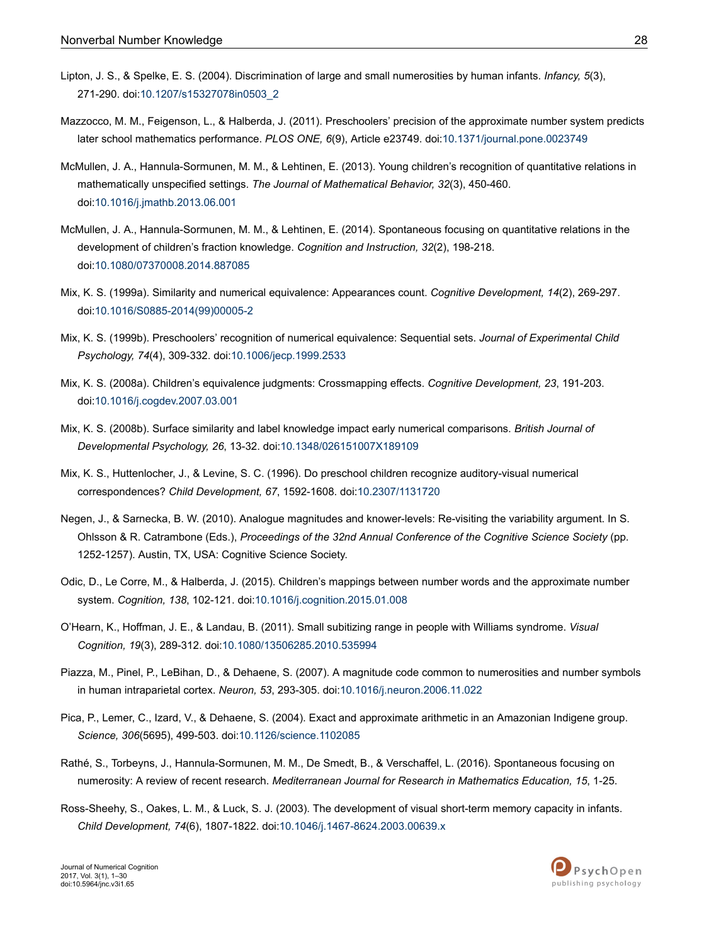- <span id="page-27-0"></span>Lipton, J. S., & Spelke, E. S. (2004). Discrimination of large and small numerosities by human infants. *Infancy, 5*(3), 271-290. doi:[10.1207/s15327078in0503\\_2](http://doi.org/10.1207/s15327078in0503_2)
- Mazzocco, M. M., Feigenson, L., & Halberda, J. (2011). Preschoolers' precision of the approximate number system predicts later school mathematics performance. *PLOS ONE, 6*(9), Article e23749. doi:[10.1371/journal.pone.0023749](http://doi.org/10.1371/journal.pone.0023749)
- McMullen, J. A., Hannula-Sormunen, M. M., & Lehtinen, E. (2013). Young children's recognition of quantitative relations in mathematically unspecified settings. *The Journal of Mathematical Behavior, 32*(3), 450-460. doi:[10.1016/j.jmathb.2013.06.001](http://doi.org/10.1016/j.jmathb.2013.06.001)
- McMullen, J. A., Hannula-Sormunen, M. M., & Lehtinen, E. (2014). Spontaneous focusing on quantitative relations in the development of children's fraction knowledge. *Cognition and Instruction, 32*(2), 198-218. doi:[10.1080/07370008.2014.887085](http://doi.org/10.1080/07370008.2014.887085)
- Mix, K. S. (1999a). Similarity and numerical equivalence: Appearances count. *Cognitive Development, 14*(2), 269-297. doi:10.1016/S0885-2014(99)00005-2
- Mix, K. S. (1999b). Preschoolers' recognition of numerical equivalence: Sequential sets. *Journal of Experimental Child Psychology, 74*(4), 309-332. doi[:10.1006/jecp.1999.2533](http://doi.org/10.1006/jecp.1999.2533)
- Mix, K. S. (2008a). Children's equivalence judgments: Crossmapping effects. *Cognitive Development, 23*, 191-203. doi:[10.1016/j.cogdev.2007.03.001](http://doi.org/10.1016/j.cogdev.2007.03.001)
- Mix, K. S. (2008b). Surface similarity and label knowledge impact early numerical comparisons. *British Journal of Developmental Psychology, 26*, 13-32. doi:[10.1348/026151007X189109](http://doi.org/10.1348/026151007X189109)
- Mix, K. S., Huttenlocher, J., & Levine, S. C. (1996). Do preschool children recognize auditory-visual numerical correspondences? *Child Development, 67*, 1592-1608. doi[:10.2307/1131720](http://doi.org/10.2307/1131720)
- Negen, J., & Sarnecka, B. W. (2010). Analogue magnitudes and knower-levels: Re-visiting the variability argument. In S. Ohlsson & R. Catrambone (Eds.), *Proceedings of the 32nd Annual Conference of the Cognitive Science Society* (pp. 1252-1257). Austin, TX, USA: Cognitive Science Society.
- Odic, D., Le Corre, M., & Halberda, J. (2015). Children's mappings between number words and the approximate number system. *Cognition, 138*, 102-121. doi[:10.1016/j.cognition.2015.01.008](http://doi.org/10.1016/j.cognition.2015.01.008)
- O'Hearn, K., Hoffman, J. E., & Landau, B. (2011). Small subitizing range in people with Williams syndrome. *Visual Cognition, 19*(3), 289-312. doi:[10.1080/13506285.2010.535994](http://doi.org/10.1080/13506285.2010.535994)
- Piazza, M., Pinel, P., LeBihan, D., & Dehaene, S. (2007). A magnitude code common to numerosities and number symbols in human intraparietal cortex. *Neuron, 53*, 293-305. doi:[10.1016/j.neuron.2006.11.022](http://doi.org/10.1016/j.neuron.2006.11.022)
- Pica, P., Lemer, C., Izard, V., & Dehaene, S. (2004). Exact and approximate arithmetic in an Amazonian Indigene group. *Science, 306*(5695), 499-503. doi:[10.1126/science.1102085](http://doi.org/10.1126/science.1102085)
- Rathé, S., Torbeyns, J., Hannula-Sormunen, M. M., De Smedt, B., & Verschaffel, L. (2016). Spontaneous focusing on numerosity: A review of recent research. *Mediterranean Journal for Research in Mathematics Education, 15*, 1-25.
- Ross-Sheehy, S., Oakes, L. M., & Luck, S. J. (2003). The development of visual short-term memory capacity in infants. *Child Development, 74*(6), 1807-1822. doi:[10.1046/j.1467-8624.2003.00639.x](http://doi.org/10.1046/j.1467-8624.2003.00639.x)

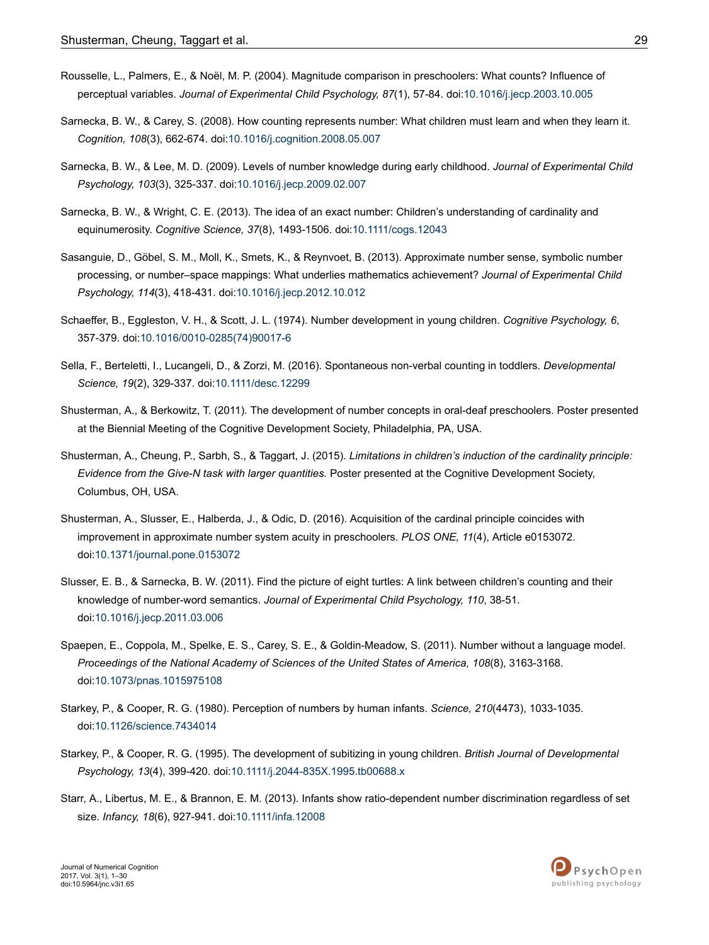- <span id="page-28-0"></span>Rousselle, L., Palmers, E., & Noël, M. P. (2004). Magnitude comparison in preschoolers: What counts? Influence of perceptual variables. *Journal of Experimental Child Psychology, 87*(1), 57-84. doi:[10.1016/j.jecp.2003.10.005](http://doi.org/10.1016/j.jecp.2003.10.005)
- Sarnecka, B. W., & Carey, S. (2008). How counting represents number: What children must learn and when they learn it. *Cognition, 108*(3), 662-674. doi:[10.1016/j.cognition.2008.05.007](http://doi.org/10.1016/j.cognition.2008.05.007)
- Sarnecka, B. W., & Lee, M. D. (2009). Levels of number knowledge during early childhood. *Journal of Experimental Child Psychology, 103*(3), 325-337. doi[:10.1016/j.jecp.2009.02.007](http://doi.org/10.1016/j.jecp.2009.02.007)
- Sarnecka, B. W., & Wright, C. E. (2013). The idea of an exact number: Children's understanding of cardinality and equinumerosity. *Cognitive Science, 37*(8), 1493-1506. doi[:10.1111/cogs.12043](http://doi.org/10.1111/cogs.12043)
- Sasanguie, D., Göbel, S. M., Moll, K., Smets, K., & Reynvoet, B. (2013). Approximate number sense, symbolic number processing, or number–space mappings: What underlies mathematics achievement? *Journal of Experimental Child Psychology, 114*(3), 418-431. doi[:10.1016/j.jecp.2012.10.012](http://doi.org/10.1016/j.jecp.2012.10.012)
- Schaeffer, B., Eggleston, V. H., & Scott, J. L. (1974). Number development in young children. *Cognitive Psychology, 6*, 357-379. doi:10.1016/0010-0285(74)90017-6
- Sella, F., Berteletti, I., Lucangeli, D., & Zorzi, M. (2016). Spontaneous non-verbal counting in toddlers. *Developmental Science, 19*(2), 329-337. doi:[10.1111/desc.12299](http://doi.org/10.1111/desc.12299)
- Shusterman, A., & Berkowitz, T. (2011). The development of number concepts in oral-deaf preschoolers. Poster presented at the Biennial Meeting of the Cognitive Development Society, Philadelphia, PA, USA.
- Shusterman, A., Cheung, P., Sarbh, S., & Taggart, J. (2015). *Limitations in children's induction of the cardinality principle: Evidence from the Give-N task with larger quantities.* Poster presented at the Cognitive Development Society, Columbus, OH, USA.
- Shusterman, A., Slusser, E., Halberda, J., & Odic, D. (2016). Acquisition of the cardinal principle coincides with improvement in approximate number system acuity in preschoolers. *PLOS ONE, 11*(4), Article e0153072. doi:[10.1371/journal.pone.0153072](http://doi.org/10.1371/journal.pone.0153072)
- Slusser, E. B., & Sarnecka, B. W. (2011). Find the picture of eight turtles: A link between children's counting and their knowledge of number-word semantics. *Journal of Experimental Child Psychology, 110*, 38-51. doi:[10.1016/j.jecp.2011.03.006](http://doi.org/10.1016/j.jecp.2011.03.006)
- Spaepen, E., Coppola, M., Spelke, E. S., Carey, S. E., & Goldin-Meadow, S. (2011). Number without a language model. *Proceedings of the National Academy of Sciences of the United States of America, 108*(8), 3163-3168. doi:[10.1073/pnas.1015975108](http://doi.org/10.1073/pnas.1015975108)
- Starkey, P., & Cooper, R. G. (1980). Perception of numbers by human infants. *Science, 210*(4473), 1033-1035. doi:[10.1126/science.7434014](http://doi.org/10.1126/science.7434014)
- Starkey, P., & Cooper, R. G. (1995). The development of subitizing in young children. *British Journal of Developmental Psychology, 13*(4), 399-420. doi[:10.1111/j.2044-835X.1995.tb00688.x](http://doi.org/10.1111/j.2044-835X.1995.tb00688.x)
- Starr, A., Libertus, M. E., & Brannon, E. M. (2013). Infants show ratio-dependent number discrimination regardless of set size. *Infancy, 18*(6), 927-941. doi[:10.1111/infa.12008](http://doi.org/10.1111/infa.12008)